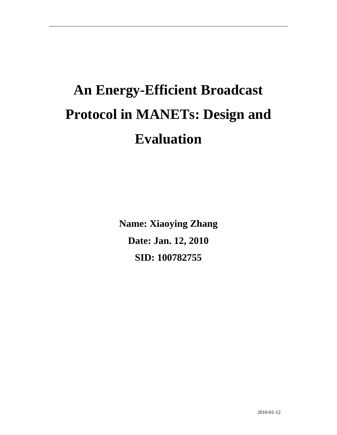# **An Energy-Efficient Broadcast Protocol in MANETs: Design and Evaluation**

**Name: Xiaoying Zhang Date: Jan. 12, 2010 SID: 100782755**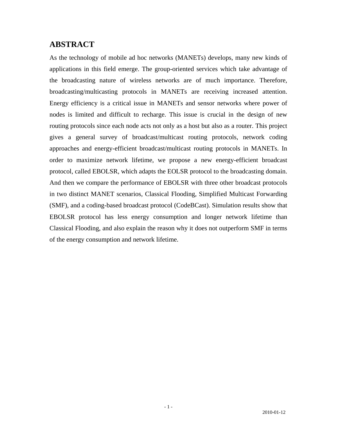## **ABSTRACT**

As the technology of mobile ad hoc networks (MANETs) develops, many new kinds of applications in this field emerge. The group-oriented services which take advantage of the broadcasting nature of wireless networks are of much importance. Therefore, broadcasting/multicasting protocols in MANETs are receiving increased attention. Energy efficiency is a critical issue in MANETs and sensor networks where power of nodes is limited and difficult to recharge. This issue is crucial in the design of new routing protocols since each node acts not only as a host but also as a router. This project gives a general survey of broadcast/multicast routing protocols, network coding approaches and energy-efficient broadcast/multicast routing protocols in MANETs. In order to maximize network lifetime, we propose a new energy-efficient broadcast protocol, called EBOLSR, which adapts the EOLSR protocol to the broadcasting domain. And then we compare the performance of EBOLSR with three other broadcast protocols in two distinct MANET scenarios, Classical Flooding, Simplified Multicast Forwarding (SMF), and a coding-based broadcast protocol (CodeBCast). Simulation results show that EBOLSR protocol has less energy consumption and longer network lifetime than Classical Flooding, and also explain the reason why it does not outperform SMF in terms of the energy consumption and network lifetime.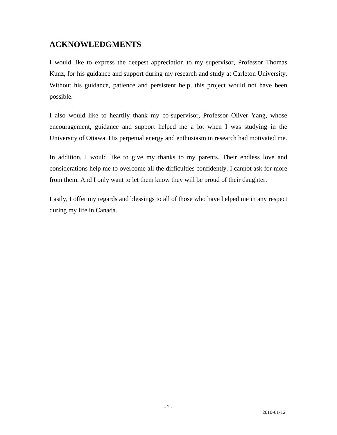## **ACKNOWLEDGMENTS**

I would like to express the deepest appreciation to my supervisor, Professor Thomas Kunz, for his guidance and support during my research and study at Carleton University. Without his guidance, patience and persistent help, this project would not have been possible.

I also would like to heartily thank my co-supervisor, Professor Oliver Yang, whose encouragement, guidance and support helped me a lot when I was studying in the University of Ottawa. His perpetual energy and enthusiasm in research had motivated me.

In addition, I would like to give my thanks to my parents. Their endless love and considerations help me to overcome all the difficulties confidently. I cannot ask for more from them. And I only want to let them know they will be proud of their daughter.

Lastly, I offer my regards and blessings to all of those who have helped me in any respect during my life in Canada.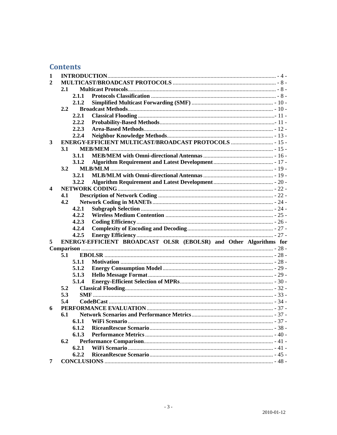## **Contents**

| 1                                                                      |               |                |                                                     |  |  |
|------------------------------------------------------------------------|---------------|----------------|-----------------------------------------------------|--|--|
| 2                                                                      |               |                |                                                     |  |  |
|                                                                        | 2.1           |                |                                                     |  |  |
|                                                                        |               | 2.1.1          |                                                     |  |  |
|                                                                        |               | 2.1.2          |                                                     |  |  |
|                                                                        | $2.2^{\circ}$ |                |                                                     |  |  |
|                                                                        |               | 2.2.1          |                                                     |  |  |
|                                                                        |               | 2.2.2          |                                                     |  |  |
|                                                                        |               | 2.2.3          |                                                     |  |  |
|                                                                        |               | 2.2.4          |                                                     |  |  |
| 3                                                                      |               |                | ENERGY-EFFICIENT MULTICAST/BROADCAST PROTOCOLS  15- |  |  |
|                                                                        | 3.1           |                |                                                     |  |  |
|                                                                        |               | 3.1.1          |                                                     |  |  |
|                                                                        |               | 3.1.2          |                                                     |  |  |
|                                                                        | 3.2           |                |                                                     |  |  |
|                                                                        |               | 3.2.1          |                                                     |  |  |
|                                                                        |               | 3.2.2          |                                                     |  |  |
| $\overline{\mathbf{4}}$                                                |               |                |                                                     |  |  |
|                                                                        | 4.1           |                |                                                     |  |  |
|                                                                        | 4.2           |                |                                                     |  |  |
|                                                                        |               | 4.2.1          |                                                     |  |  |
|                                                                        |               | 4.2.2          |                                                     |  |  |
|                                                                        |               | 4.2.3          |                                                     |  |  |
|                                                                        |               | 4.2.4          |                                                     |  |  |
|                                                                        |               | 4.2.5          |                                                     |  |  |
| ENERGY-EFFICIENT BROADCAST OLSR (EBOLSR) and Other Algorithms for<br>5 |               |                |                                                     |  |  |
|                                                                        | 5.1           |                |                                                     |  |  |
|                                                                        |               | 5.1.1          |                                                     |  |  |
|                                                                        |               | 5.1.2          |                                                     |  |  |
|                                                                        |               | 5.1.3          |                                                     |  |  |
|                                                                        |               | 5.1.4          |                                                     |  |  |
|                                                                        | 5.2           |                |                                                     |  |  |
|                                                                        | 5.3           |                |                                                     |  |  |
|                                                                        | 5.4           |                |                                                     |  |  |
| 6                                                                      |               |                |                                                     |  |  |
|                                                                        | 6.1           |                |                                                     |  |  |
|                                                                        |               |                |                                                     |  |  |
|                                                                        |               |                |                                                     |  |  |
|                                                                        |               | 6.1.1<br>6.1.2 |                                                     |  |  |
|                                                                        |               |                |                                                     |  |  |
|                                                                        | 6.2           | 6.1.3          |                                                     |  |  |
|                                                                        |               | 6.2.1          |                                                     |  |  |
|                                                                        |               | 6.2.2          |                                                     |  |  |
| 7                                                                      |               |                |                                                     |  |  |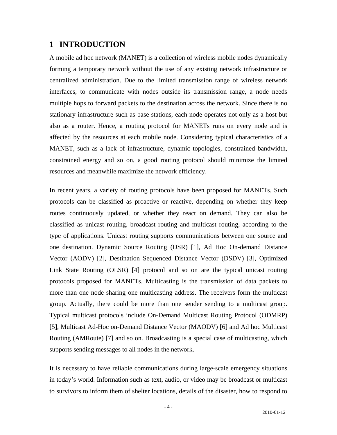## <span id="page-4-0"></span>**1 INTRODUCTION**

A mobile ad hoc network (MANET) is a collection of wireless mobile nodes dynamically forming a temporary network without the use of any existing network infrastructure or centralized administration. Due to the limited transmission range of wireless network interfaces, to communicate with nodes outside its transmission range, a node needs multiple hops to forward packets to the destination across the network. Since there is no stationary infrastructure such as base stations, each node operates not only as a host but also as a router. Hence, a routing protocol for MANETs runs on every node and is affected by the resources at each mobile node. Considering typical characteristics of a MANET, such as a lack of infrastructure, dynamic topologies, constrained bandwidth, constrained energy and so on, a good routing protocol should minimize the limited resources and meanwhile maximize the network efficiency.

In recent years, a variety of routing protocols have been proposed for MANETs. Such protocols can be classified as proactive or reactive, depending on whether they keep routes continuously updated, or whether they react on demand. They can also be classified as unicast routing, broadcast routing and multicast routing, according to the type of applications. Unicast routing supports communications between one source and one destination. Dynamic Source Routing (DSR) [1], Ad Hoc On-demand Distance Vector (AODV) [2], Destination Sequenced Distance Vector (DSDV) [3], Optimized Link State Routing (OLSR) [4] protocol and so on are the typical unicast routing protocols proposed for MANETs. Multicasting is the transmission of data packets to more than one node sharing one multicasting address. The receivers form the multicast group. Actually, there could be more than one sender sending to a multicast group. Typical multicast protocols include On-Demand Multicast Routing Protocol (ODMRP) [5], Multicast Ad-Hoc on-Demand Distance Vector (MAODV) [6] and Ad hoc Multicast Routing (AMRoute) [7] and so on. Broadcasting is a special case of multicasting, which supports sending messages to all nodes in the network.

It is necessary to have reliable communications during large-scale emergency situations in today's world. Information such as text, audio, or video may be broadcast or multicast to survivors to inform them of shelter locations, details of the disaster, how to respond to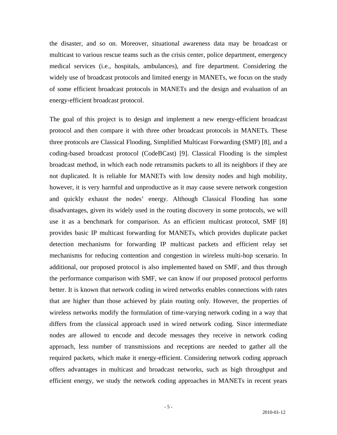the disaster, and so on. Moreover, situational awareness data may be broadcast or multicast to various rescue teams such as the crisis center, police department, emergency medical services (i.e., hospitals, ambulances), and fire department. Considering the widely use of broadcast protocols and limited energy in MANETs, we focus on the study of some efficient broadcast protocols in MANETs and the design and evaluation of an energy-efficient broadcast protocol.

The goal of this project is to design and implement a new energy-efficient broadcast protocol and then compare it with three other broadcast protocols in MANETs. These three protocols are Classical Flooding, Simplified Multicast Forwarding (SMF) [8], and a coding-based broadcast protocol (CodeBCast) [9]. Classical Flooding is the simplest broadcast method, in which each node retransmits packets to all its neighbors if they are not duplicated. It is reliable for MANETs with low density nodes and high mobility, however, it is very harmful and unproductive as it may cause severe network congestion and quickly exhaust the nodes' energy. Although Classical Flooding has some disadvantages, given its widely used in the routing discovery in some protocols, we will use it as a benchmark for comparison. As an efficient multicast protocol, SMF [8] provides basic IP multicast forwarding for MANETs, which provides duplicate packet detection mechanisms for forwarding IP multicast packets and efficient relay set mechanisms for reducing contention and congestion in wireless multi-hop scenario. In additional, our proposed protocol is also implemented based on SMF, and thus through the performance comparison with SMF, we can know if our proposed protocol performs better. It is known that network coding in wired networks enables connections with rates that are higher than those achieved by plain routing only. However, the properties of wireless networks modify the formulation of time-varying network coding in a way that differs from the classical approach used in wired network coding. Since intermediate nodes are allowed to encode and decode messages they receive in network coding approach, less number of transmissions and receptions are needed to gather all the required packets, which make it energy-efficient. Considering network coding approach offers advantages in multicast and broadcast networks, such as high throughput and efficient energy, we study the network coding approaches in MANETs in recent years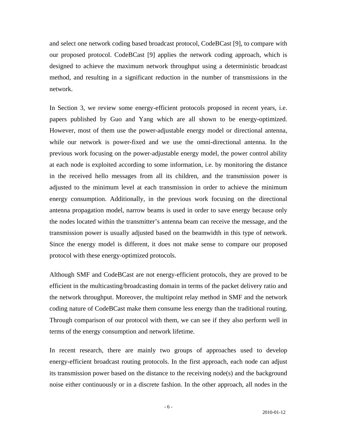and select one network coding based broadcast protocol, CodeBCast [9], to compare with our proposed protocol. CodeBCast [9] applies the network coding approach, which is designed to achieve the maximum network throughput using a deterministic broadcast method, and resulting in a significant reduction in the number of transmissions in the network.

In Section 3, we review some energy-efficient protocols proposed in recent years, i.e. papers published by Guo and Yang which are all shown to be energy-optimized. However, most of them use the power-adjustable energy model or directional antenna, while our network is power-fixed and we use the omni-directional antenna. In the previous work focusing on the power-adjustable energy model, the power control ability at each node is exploited according to some information, i.e. by monitoring the distance in the received hello messages from all its children, and the transmission power is adjusted to the minimum level at each transmission in order to achieve the minimum energy consumption. Additionally, in the previous work focusing on the directional antenna propagation model, narrow beams is used in order to save energy because only the nodes located within the transmitter's antenna beam can receive the message, and the transmission power is usually adjusted based on the beamwidth in this type of network. Since the energy model is different, it does not make sense to compare our proposed protocol with these energy-optimized protocols.

Although SMF and CodeBCast are not energy-efficient protocols, they are proved to be efficient in the multicasting/broadcasting domain in terms of the packet delivery ratio and the network throughput. Moreover, the multipoint relay method in SMF and the network coding nature of CodeBCast make them consume less energy than the traditional routing. Through comparison of our protocol with them, we can see if they also perform well in terms of the energy consumption and network lifetime.

In recent research, there are mainly two groups of approaches used to develop energy-efficient broadcast routing protocols. In the first approach, each node can adjust its transmission power based on the distance to the receiving node(s) and the background noise either continuously or in a discrete fashion. In the other approach, all nodes in the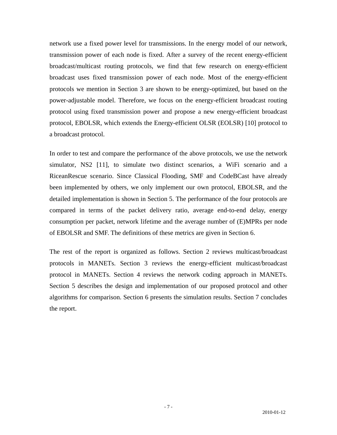network use a fixed power level for transmissions. In the energy model of our network, transmission power of each node is fixed. After a survey of the recent energy-efficient broadcast/multicast routing protocols, we find that few research on energy-efficient broadcast uses fixed transmission power of each node. Most of the energy-efficient protocols we mention in Section 3 are shown to be energy-optimized, but based on the power-adjustable model. Therefore, we focus on the energy-efficient broadcast routing protocol using fixed transmission power and propose a new energy-efficient broadcast protocol, EBOLSR, which extends the Energy-efficient OLSR (EOLSR) [10] protocol to a broadcast protocol.

In order to test and compare the performance of the above protocols, we use the network simulator, NS2 [11], to simulate two distinct scenarios, a WiFi scenario and a RiceanRescue scenario. Since Classical Flooding, SMF and CodeBCast have already been implemented by others, we only implement our own protocol, EBOLSR, and the detailed implementation is shown in Section 5. The performance of the four protocols are compared in terms of the packet delivery ratio, average end-to-end delay, energy consumption per packet, network lifetime and the average number of (E)MPRs per node of EBOLSR and SMF. The definitions of these metrics are given in Section 6.

The rest of the report is organized as follows. Section 2 reviews multicast/broadcast protocols in MANETs. Section 3 reviews the energy-efficient multicast/broadcast protocol in MANETs. Section 4 reviews the network coding approach in MANETs. Section 5 describes the design and implementation of our proposed protocol and other algorithms for comparison. Section 6 presents the simulation results. Section 7 concludes the report.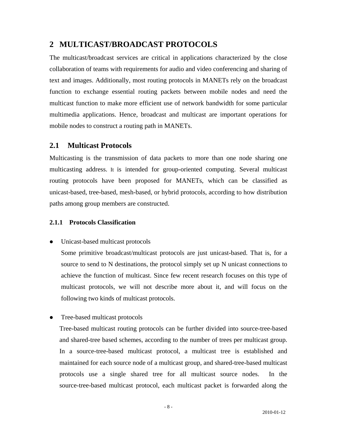## <span id="page-8-0"></span>**2 MULTICAST/BROADCAST PROTOCOLS**

The multicast/broadcast services are critical in applications characterized by the close collaboration of teams with requirements for audio and video conferencing and sharing of text and images. Additionally, most routing protocols in MANETs rely on the broadcast function to exchange essential routing packets between mobile nodes and need the multicast function to make more efficient use of network bandwidth for some particular multimedia applications. Hence, broadcast and multicast are important operations for mobile nodes to construct a routing path in MANETs.

#### **2.1 Multicast Protocols**

Multicasting is the transmission of data packets to more than one node sharing one multicasting address. It is intended for group-oriented computing. Several multicast routing protocols have been proposed for MANETs, which can be classified as unicast-based, tree-based, mesh-based, or hybrid protocols, according to how distribution paths among group members are constructed.

#### **2.1.1 Protocols Classification**

• Unicast-based multicast protocols

Some primitive broadcast/multicast protocols are just unicast-based. That is, for a source to send to N destinations, the protocol simply set up N unicast connections to achieve the function of multicast. Since few recent research focuses on this type of multicast protocols, we will not describe more about it, and will focus on the following two kinds of multicast protocols.

Tree-based multicast protocols

Tree-based multicast routing protocols can be further divided into source-tree-based and shared-tree based schemes, according to the number of trees per multicast group. In a source-tree-based multicast protocol, a multicast tree is established and maintained for each source node of a multicast group, and shared-tree-based multicast protocols use a single shared tree for all multicast source nodes. In the source-tree-based multicast protocol, each multicast packet is forwarded along the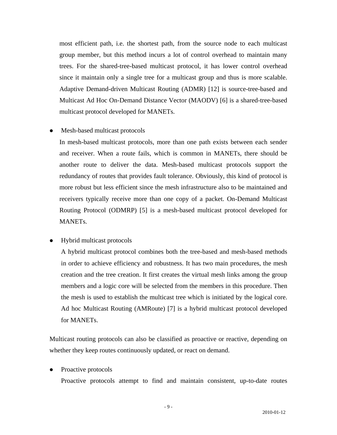most efficient path, i.e. the shortest path, from the source node to each multicast group member, but this method incurs a lot of control overhead to maintain many trees. For the shared-tree-based multicast protocol, it has lower control overhead since it maintain only a single tree for a multicast group and thus is more scalable. Adaptive Demand-driven Multicast Routing (ADMR) [12] is source-tree-based and Multicast Ad Hoc On-Demand Distance Vector (MAODV) [6] is a shared-tree-based multicast protocol developed for MANETs.

Mesh-based multicast protocols

In mesh-based multicast protocols, more than one path exists between each sender and receiver. When a route fails, which is common in MANETs, there should be another route to deliver the data. Mesh-based multicast protocols support the redundancy of routes that provides fault tolerance. Obviously, this kind of protocol is more robust but less efficient since the mesh infrastructure also to be maintained and receivers typically receive more than one copy of a packet. On-Demand Multicast Routing Protocol (ODMRP) [5] is a mesh-based multicast protocol developed for MANETs.

• Hybrid multicast protocols

A hybrid multicast protocol combines both the tree-based and mesh-based methods in order to achieve efficiency and robustness. It has two main procedures, the mesh creation and the tree creation. It first creates the virtual mesh links among the group members and a logic core will be selected from the members in this procedure. Then the mesh is used to establish the multicast tree which is initiated by the logical core. Ad hoc Multicast Routing (AMRoute) [7] is a hybrid multicast protocol developed for MANETs.

Multicast routing protocols can also be classified as proactive or reactive, depending on whether they keep routes continuously updated, or react on demand.

Proactive protocols

Proactive protocols attempt to find and maintain consistent, up-to-date routes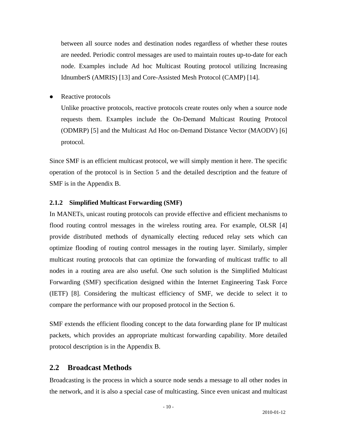<span id="page-10-0"></span>between all source nodes and destination nodes regardless of whether these routes are needed. Periodic control messages are used to maintain routes up-to-date for each node. Examples include Ad hoc Multicast Routing protocol utilizing Increasing IdnumberS (AMRIS) [13] and Core-Assisted Mesh Protocol (CAMP) [14].

• Reactive protocols

Unlike proactive protocols, reactive protocols create routes only when a source node requests them. Examples include the On-Demand Multicast Routing Protocol (ODMRP) [5] and the Multicast Ad Hoc on-Demand Distance Vector (MAODV) [6] protocol.

Since SMF is an efficient multicast protocol, we will simply mention it here. The specific operation of the protocol is in Section 5 and the detailed description and the feature of SMF is in the Appendix B.

#### **2.1.2 Simplified Multicast Forwarding (SMF)**

In MANETs, unicast routing protocols can provide effective and efficient mechanisms to flood routing control messages in the wireless routing area. For example, OLSR [4] provide distributed methods of dynamically electing reduced relay sets which can optimize flooding of routing control messages in the routing layer. Similarly, simpler multicast routing protocols that can optimize the forwarding of multicast traffic to all nodes in a routing area are also useful. One such solution is the Simplified Multicast Forwarding (SMF) specification designed within the Internet Engineering Task Force (IETF) [8]. Considering the multicast efficiency of SMF, we decide to select it to compare the performance with our proposed protocol in the Section 6.

SMF extends the efficient flooding concept to the data forwarding plane for IP multicast packets, which provides an appropriate multicast forwarding capability. More detailed protocol description is in the Appendix B.

#### **2.2 Broadcast Methods**

Broadcasting is the process in which a source node sends a message to all other nodes in the network, and it is also a special case of multicasting. Since even unicast and multicast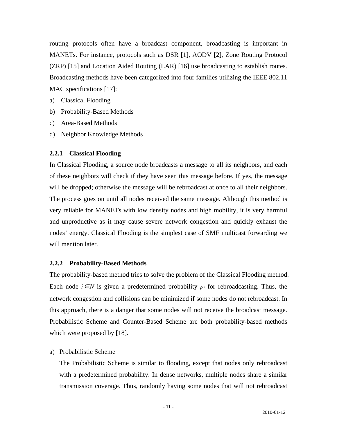<span id="page-11-0"></span>routing protocols often have a broadcast component, broadcasting is important in MANETs. For instance, protocols such as DSR [1], AODV [2], Zone Routing Protocol (ZRP) [15] and Location Aided Routing (LAR) [16] use broadcasting to establish routes. Broadcasting methods have been categorized into four families utilizing the IEEE 802.11 MAC specifications [17]:

- a) Classical Flooding
- b) Probability-Based Methods
- c) Area-Based Methods
- d) Neighbor Knowledge Methods

#### **2.2.1 Classical Flooding**

In Classical Flooding, a source node broadcasts a message to all its neighbors, and each of these neighbors will check if they have seen this message before. If yes, the message will be dropped; otherwise the message will be rebroadcast at once to all their neighbors. The process goes on until all nodes received the same message. Although this method is very reliable for MANETs with low density nodes and high mobility, it is very harmful and unproductive as it may cause severe network congestion and quickly exhaust the nodes' energy. Classical Flooding is the simplest case of SMF multicast forwarding we will mention later.

#### **2.2.2 Probability-Based Methods**

The probability-based method tries to solve the problem of the Classical Flooding method. Each node  $i \in N$  is given a predetermined probability  $p_i$  for rebroadcasting. Thus, the network congestion and collisions can be minimized if some nodes do not rebroadcast. In this approach, there is a danger that some nodes will not receive the broadcast message. Probabilistic Scheme and Counter-Based Scheme are both probability-based methods which were proposed by [18].

#### a) Probabilistic Scheme

The Probabilistic Scheme is similar to flooding, except that nodes only rebroadcast with a predetermined probability. In dense networks, multiple nodes share a similar transmission coverage. Thus, randomly having some nodes that will not rebroadcast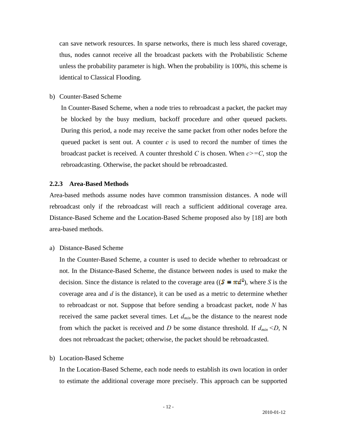<span id="page-12-0"></span>can save network resources. In sparse networks, there is much less shared coverage, thus, nodes cannot receive all the broadcast packets with the Probabilistic Scheme unless the probability parameter is high. When the probability is 100%, this scheme is identical to Classical Flooding.

b) Counter-Based Scheme

In Counter-Based Scheme, when a node tries to rebroadcast a packet, the packet may be blocked by the busy medium, backoff procedure and other queued packets. During this period, a node may receive the same packet from other nodes before the queued packet is sent out. A counter *c* is used to record the number of times the broadcast packet is received. A counter threshold *C* is chosen. When  $c \geq -C$ , stop the rebroadcasting. Otherwise, the packet should be rebroadcasted.

#### **2.2.3 Area-Based Methods**

Area-based methods assume nodes have common transmission distances. A node will rebroadcast only if the rebroadcast will reach a sufficient additional coverage area. Distance-Based Scheme and the Location-Based Scheme proposed also by [18] are both area-based methods.

a) Distance-Based Scheme

In the Counter-Based Scheme, a counter is used to decide whether to rebroadcast or not. In the Distance-Based Scheme, the distance between nodes is used to make the decision. Since the distance is related to the coverage area ( $(S = \pi d^2)$ , where *S* is the coverage area and *d* is the distance), it can be used as a metric to determine whether to rebroadcast or not. Suppose that before sending a broadcast packet, node *N* has received the same packet several times. Let *dmin* be the distance to the nearest node from which the packet is received and *D* be some distance threshold. If  $d_{min} < D$ , N does not rebroadcast the packet; otherwise, the packet should be rebroadcasted.

b) Location-Based Scheme

In the Location-Based Scheme, each node needs to establish its own location in order to estimate the additional coverage more precisely. This approach can be supported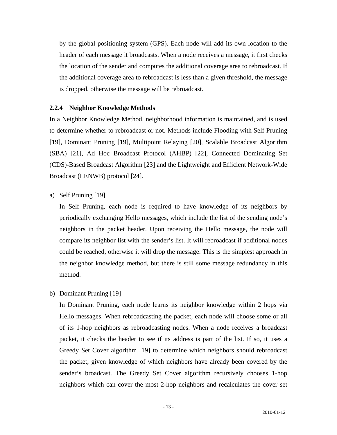<span id="page-13-0"></span>by the global positioning system (GPS). Each node will add its own location to the header of each message it broadcasts. When a node receives a message, it first checks the location of the sender and computes the additional coverage area to rebroadcast. If the additional coverage area to rebroadcast is less than a given threshold, the message is dropped, otherwise the message will be rebroadcast.

#### **2.2.4 Neighbor Knowledge Methods**

In a Neighbor Knowledge Method, neighborhood information is maintained, and is used to determine whether to rebroadcast or not. Methods include Flooding with Self Pruning [19], Dominant Pruning [19], Multipoint Relaying [20], Scalable Broadcast Algorithm (SBA) [21], Ad Hoc Broadcast Protocol (AHBP) [22], Connected Dominating Set (CDS)-Based Broadcast Algorithm [23] and the Lightweight and Efficient Network-Wide Broadcast (LENWB) protocol [24].

a) Self Pruning [19]

In Self Pruning, each node is required to have knowledge of its neighbors by periodically exchanging Hello messages, which include the list of the sending node's neighbors in the packet header. Upon receiving the Hello message, the node will compare its neighbor list with the sender's list. It will rebroadcast if additional nodes could be reached, otherwise it will drop the message. This is the simplest approach in the neighbor knowledge method, but there is still some message redundancy in this method.

b) Dominant Pruning [19]

In Dominant Pruning, each node learns its neighbor knowledge within 2 hops via Hello messages. When rebroadcasting the packet, each node will choose some or all of its 1-hop neighbors as rebroadcasting nodes. When a node receives a broadcast packet, it checks the header to see if its address is part of the list. If so, it uses a Greedy Set Cover algorithm [19] to determine which neighbors should rebroadcast the packet, given knowledge of which neighbors have already been covered by the sender's broadcast. The Greedy Set Cover algorithm recursively chooses 1-hop neighbors which can cover the most 2-hop neighbors and recalculates the cover set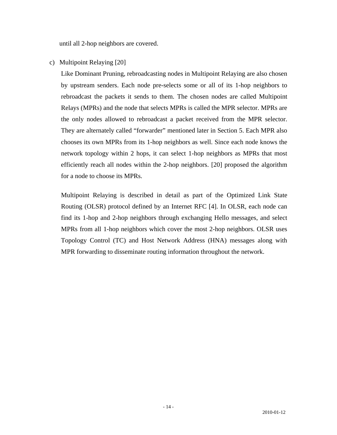until all 2-hop neighbors are covered.

c) Multipoint Relaying [20]

Like Dominant Pruning, rebroadcasting nodes in Multipoint Relaying are also chosen by upstream senders. Each node pre-selects some or all of its 1-hop neighbors to rebroadcast the packets it sends to them. The chosen nodes are called Multipoint Relays (MPRs) and the node that selects MPRs is called the MPR selector. MPRs are the only nodes allowed to rebroadcast a packet received from the MPR selector. They are alternately called "forwarder" mentioned later in Section 5. Each MPR also chooses its own MPRs from its 1-hop neighbors as well. Since each node knows the network topology within 2 hops, it can select 1-hop neighbors as MPRs that most efficiently reach all nodes within the 2-hop neighbors. [20] proposed the algorithm for a node to choose its MPRs.

Multipoint Relaying is described in detail as part of the Optimized Link State Routing (OLSR) protocol defined by an Internet RFC [4]. In OLSR, each node can find its 1-hop and 2-hop neighbors through exchanging Hello messages, and select MPRs from all 1-hop neighbors which cover the most 2-hop neighbors. OLSR uses Topology Control (TC) and Host Network Address (HNA) messages along with MPR forwarding to disseminate routing information throughout the network.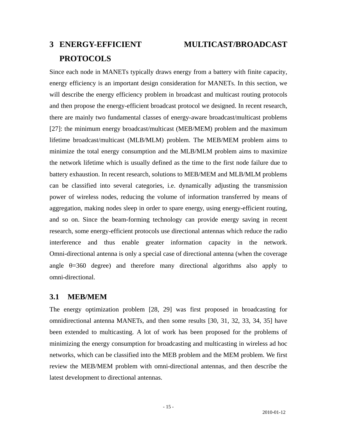# <span id="page-15-0"></span>**3 ENERGY-EFFICIENT MULTICAST/BROADCAST PROTOCOLS**

Since each node in MANETs typically draws energy from a battery with finite capacity, energy efficiency is an important design consideration for MANETs. In this section, we will describe the energy efficiency problem in broadcast and multicast routing protocols and then propose the energy-efficient broadcast protocol we designed. In recent research, there are mainly two fundamental classes of energy-aware broadcast/multicast problems [27]: the minimum energy broadcast/multicast (MEB/MEM) problem and the maximum lifetime broadcast/multicast (MLB/MLM) problem. The MEB/MEM problem aims to minimize the total energy consumption and the MLB/MLM problem aims to maximize the network lifetime which is usually defined as the time to the first node failure due to battery exhaustion. In recent research, solutions to MEB/MEM and MLB/MLM problems can be classified into several categories, i.e. dynamically adjusting the transmission power of wireless nodes, reducing the volume of information transferred by means of aggregation, making nodes sleep in order to spare energy, using energy-efficient routing, and so on. Since the beam-forming technology can provide energy saving in recent research, some energy-efficient protocols use directional antennas which reduce the radio interference and thus enable greater information capacity in the network. Omni-directional antenna is only a special case of directional antenna (when the coverage angle  $\theta$ =360 degree) and therefore many directional algorithms also apply to omni-directional.

## **3.1 MEB/MEM**

The energy optimization problem [28, 29] was first proposed in broadcasting for omnidirectional antenna MANETs, and then some results [30, 31, 32, 33, 34, 35] have been extended to multicasting. A lot of work has been proposed for the problems of minimizing the energy consumption for broadcasting and multicasting in wireless ad hoc networks, which can be classified into the MEB problem and the MEM problem. We first review the MEB/MEM problem with omni-directional antennas, and then describe the latest development to directional antennas.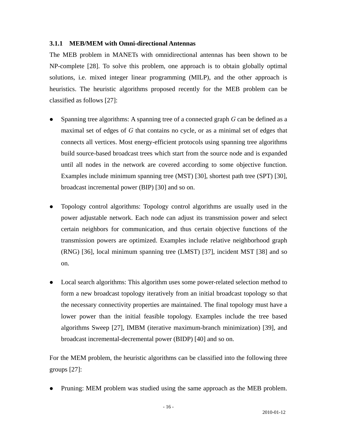#### <span id="page-16-0"></span>**3.1.1 MEB/MEM with Omni-directional Antennas**

The MEB problem in MANETs with omnidirectional antennas has been shown to be NP-complete [28]. To solve this problem, one approach is to obtain globally optimal solutions, i.e. mixed integer linear programming (MILP), and the other approach is heuristics. The heuristic algorithms proposed recently for the MEB problem can be classified as follows [27]:

- Spanning tree algorithms: A spanning tree of a connected graph *G* can be defined as a maximal set of edges of *G* that contains no cycle, or as a minimal set of edges that connects all vertices. Most energy-efficient protocols using spanning tree algorithms build source-based broadcast trees which start from the source node and is expanded until all nodes in the network are covered according to some objective function. Examples include minimum spanning tree (MST) [30], shortest path tree (SPT) [30], broadcast incremental power (BIP) [30] and so on.
- Topology control algorithms: Topology control algorithms are usually used in the power adjustable network. Each node can adjust its transmission power and select certain neighbors for communication, and thus certain objective functions of the transmission powers are optimized. Examples include relative neighborhood graph (RNG) [36], local minimum spanning tree (LMST) [37], incident MST [38] and so on.
- Local search algorithms: This algorithm uses some power-related selection method to form a new broadcast topology iteratively from an initial broadcast topology so that the necessary connectivity properties are maintained. The final topology must have a lower power than the initial feasible topology. Examples include the tree based algorithms Sweep [27], IMBM (iterative maximum-branch minimization) [39], and broadcast incremental-decremental power (BIDP) [40] and so on.

For the MEM problem, the heuristic algorithms can be classified into the following three groups [27]:

Pruning: MEM problem was studied using the same approach as the MEB problem.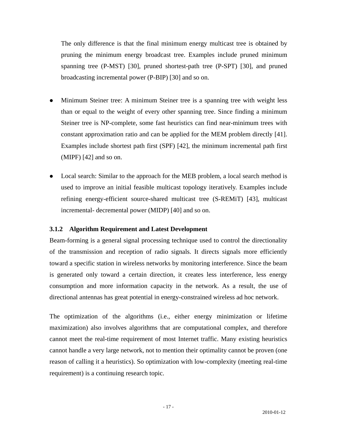<span id="page-17-0"></span>The only difference is that the final minimum energy multicast tree is obtained by pruning the minimum energy broadcast tree. Examples include pruned minimum spanning tree (P-MST) [30], pruned shortest-path tree (P-SPT) [30], and pruned broadcasting incremental power (P-BIP) [30] and so on.

- Minimum Steiner tree: A minimum Steiner tree is a spanning tree with weight less than or equal to the weight of every other spanning tree. Since finding a minimum Steiner tree is NP-complete, some fast heuristics can find near-minimum trees with constant approximation ratio and can be applied for the MEM problem directly [41]. Examples include shortest path first (SPF) [42], the minimum incremental path first (MIPF) [42] and so on.
- Local search: Similar to the approach for the MEB problem, a local search method is used to improve an initial feasible multicast topology iteratively. Examples include refining energy-efficient source-shared multicast tree (S-REMiT) [43], multicast incremental- decremental power (MIDP) [40] and so on.

#### **3.1.2 Algorithm Requirement and Latest Development**

Beam-forming is a general signal processing technique used to control the directionality of the transmission and reception of radio signals. It directs signals more efficiently toward a specific station in wireless networks by monitoring interference. Since the beam is generated only toward a certain direction, it creates less interference, less energy consumption and more information capacity in the network. As a result, the use of directional antennas has great potential in energy-constrained wireless ad hoc network.

The optimization of the algorithms (i.e., either energy minimization or lifetime maximization) also involves algorithms that are computational complex, and therefore cannot meet the real-time requirement of most Internet traffic. Many existing heuristics cannot handle a very large network, not to mention their optimality cannot be proven (one reason of calling it a heuristics). So optimization with low-complexity (meeting real-time requirement) is a continuing research topic.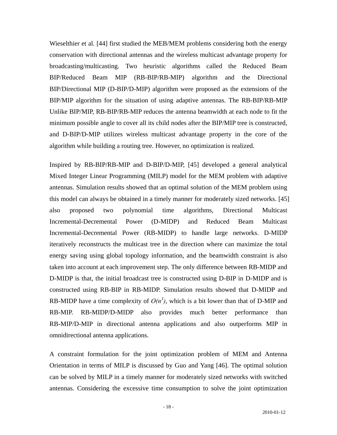Wieselthier et al. [44] first studied the MEB/MEM problems considering both the energy conservation with directional antennas and the wireless multicast advantage property for broadcasting/multicasting. Two heuristic algorithms called the Reduced Beam BIP/Reduced Beam MIP (RB-BIP/RB-MIP) algorithm and the Directional BIP/Directional MIP (D-BIP/D-MIP) algorithm were proposed as the extensions of the BIP/MIP algorithm for the situation of using adaptive antennas. The RB-BIP/RB-MIP Unlike BIP/MIP, RB-BIP/RB-MIP reduces the antenna beamwidth at each node to fit the minimum possible angle to cover all its child nodes after the BIP/MIP tree is constructed, and D-BIP/D-MIP utilizes wireless multicast advantage property in the core of the algorithm while building a routing tree. However, no optimization is realized.

Inspired by RB-BIP/RB-MIP and D-BIP/D-MIP, [45] developed a general analytical Mixed Integer Linear Programming (MILP) model for the MEM problem with adaptive antennas. Simulation results showed that an optimal solution of the MEM problem using this model can always be obtained in a timely manner for moderately sized networks. [45] also proposed two polynomial time algorithms, Directional Multicast Incremental-Decremental Power (D-MIDP) and Reduced Beam Multicast Incremental-Decremental Power (RB-MIDP) to handle large networks. D-MIDP iteratively reconstructs the multicast tree in the direction where can maximize the total energy saving using global topology information, and the beamwidth constraint is also taken into account at each improvement step. The only difference between RB-MIDP and D-MIDP is that, the initial broadcast tree is constructed using D-BIP in D-MIDP and is constructed using RB-BIP in RB-MIDP. Simulation results showed that D-MIDP and RB-MIDP have a time complexity of  $O(n^3)$ , which is a bit lower than that of D-MIP and RB-MIP. RB-MIDP/D-MIDP also provides much better performance than RB-MIP/D-MIP in directional antenna applications and also outperforms MIP in omnidirectional antenna applications.

A constraint formulation for the joint optimization problem of MEM and Antenna Orientation in terms of MILP is discussed by Guo and Yang [46]. The optimal solution can be solved by MILP in a timely manner for moderately sized networks with switched antennas. Considering the excessive time consumption to solve the joint optimization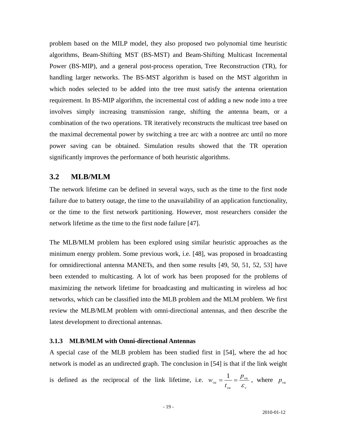<span id="page-19-0"></span>problem based on the MILP model, they also proposed two polynomial time heuristic algorithms, Beam-Shifting MST (BS-MST) and Beam-Shifting Multicast Incremental Power (BS-MIP), and a general post-process operation, Tree Reconstruction (TR), for handling larger networks. The BS-MST algorithm is based on the MST algorithm in which nodes selected to be added into the tree must satisfy the antenna orientation requirement. In BS-MIP algorithm, the incremental cost of adding a new node into a tree involves simply increasing transmission range, shifting the antenna beam, or a combination of the two operations. TR iteratively reconstructs the multicast tree based on the maximal decremental power by switching a tree arc with a nontree arc until no more power saving can be obtained. Simulation results showed that the TR operation significantly improves the performance of both heuristic algorithms.

#### **3.2 MLB/MLM**

The network lifetime can be defined in several ways, such as the time to the first node failure due to battery outage, the time to the unavailability of an application functionality, or the time to the first network partitioning. However, most researchers consider the network lifetime as the time to the first node failure [47].

The MLB/MLM problem has been explored using similar heuristic approaches as the minimum energy problem. Some previous work, i.e. [48], was proposed in broadcasting for omnidirectional antenna MANETs, and then some results [49, 50, 51, 52, 53] have been extended to multicasting. A lot of work has been proposed for the problems of maximizing the network lifetime for broadcasting and multicasting in wireless ad hoc networks, which can be classified into the MLB problem and the MLM problem. We first review the MLB/MLM problem with omni-directional antennas, and then describe the latest development to directional antennas.

#### **3.1.3 MLB/MLM with Omni-directional Antennas**

A special case of the MLB problem has been studied first in [54], where the ad hoc network is model as an undirected graph. The conclusion in [54] is that if the link weight *p*

is defined as the reciprocal of the link lifetime, i.e. *v vu vu vu t*  $w_{vu} = \frac{1}{t_{uv}} = \frac{p_{vu}}{\varepsilon_{uv}}$ , where  $p_{vu}$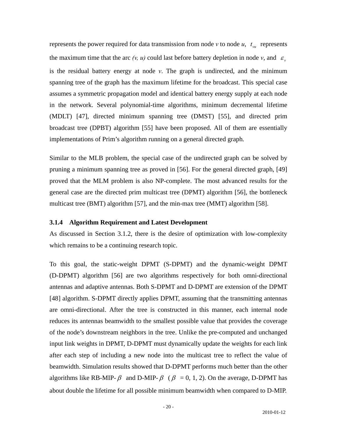<span id="page-20-0"></span>represents the power required for data transmission from node  $v$  to node  $u$ ,  $t_{vu}$  represents the maximum time that the arc  $(v, u)$  could last before battery depletion in node *v*, and  $\varepsilon$ <sub>*v*</sub> is the residual battery energy at node *v*. The graph is undirected, and the minimum spanning tree of the graph has the maximum lifetime for the broadcast. This special case assumes a symmetric propagation model and identical battery energy supply at each node in the network. Several polynomial-time algorithms, minimum decremental lifetime (MDLT) [47], directed minimum spanning tree (DMST) [55], and directed prim broadcast tree (DPBT) algorithm [55] have been proposed. All of them are essentially implementations of Prim's algorithm running on a general directed graph.

Similar to the MLB problem, the special case of the undirected graph can be solved by pruning a minimum spanning tree as proved in [56]. For the general directed graph, [49] proved that the MLM problem is also NP-complete. The most advanced results for the general case are the directed prim multicast tree (DPMT) algorithm [56], the bottleneck multicast tree (BMT) algorithm [57], and the min-max tree (MMT) algorithm [58].

#### **3.1.4 Algorithm Requirement and Latest Development**

As discussed in Section 3.1.2, there is the desire of optimization with low-complexity which remains to be a continuing research topic.

To this goal, the static-weight DPMT (S-DPMT) and the dynamic-weight DPMT (D-DPMT) algorithm [56] are two algorithms respectively for both omni-directional antennas and adaptive antennas. Both S-DPMT and D-DPMT are extension of the DPMT [48] algorithm. S-DPMT directly applies DPMT, assuming that the transmitting antennas are omni-directional. After the tree is constructed in this manner, each internal node reduces its antennas beamwidth to the smallest possible value that provides the coverage of the node's downstream neighbors in the tree. Unlike the pre-computed and unchanged input link weights in DPMT, D-DPMT must dynamically update the weights for each link after each step of including a new node into the multicast tree to reflect the value of beamwidth. Simulation results showed that D-DPMT performs much better than the other algorithms like RB-MIP-  $\beta$  and D-MIP-  $\beta$  ( $\beta$  = 0, 1, 2). On the average, D-DPMT has about double the lifetime for all possible minimum beamwidth when compared to D-MIP.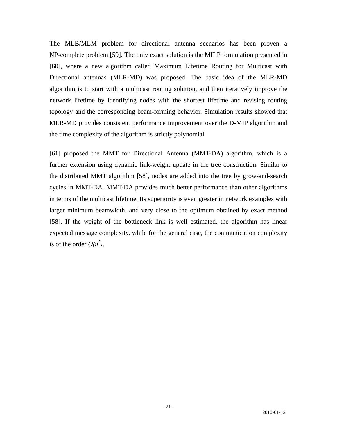The MLB/MLM problem for directional antenna scenarios has been proven a NP-complete problem [59]. The only exact solution is the MILP formulation presented in [60], where a new algorithm called Maximum Lifetime Routing for Multicast with Directional antennas (MLR-MD) was proposed. The basic idea of the MLR-MD algorithm is to start with a multicast routing solution, and then iteratively improve the network lifetime by identifying nodes with the shortest lifetime and revising routing topology and the corresponding beam-forming behavior. Simulation results showed that MLR-MD provides consistent performance improvement over the D-MIP algorithm and the time complexity of the algorithm is strictly polynomial.

[61] proposed the MMT for Directional Antenna (MMT-DA) algorithm, which is a further extension using dynamic link-weight update in the tree construction. Similar to the distributed MMT algorithm [58], nodes are added into the tree by grow-and-search cycles in MMT-DA. MMT-DA provides much better performance than other algorithms in terms of the multicast lifetime. Its superiority is even greater in network examples with larger minimum beamwidth, and very close to the optimum obtained by exact method [58]. If the weight of the bottleneck link is well estimated, the algorithm has linear expected message complexity, while for the general case, the communication complexity is of the order  $O(n^2)$ .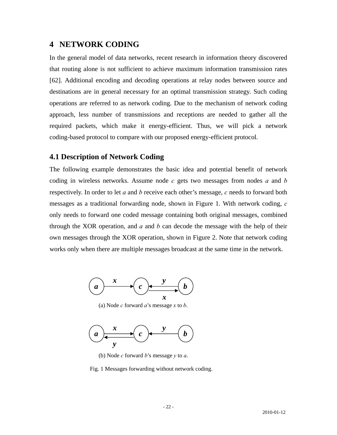## <span id="page-22-0"></span>**4 NETWORK CODING**

In the general model of data networks, recent research in information theory discovered that routing alone is not sufficient to achieve maximum information transmission rates [62]. Additional encoding and decoding operations at relay nodes between source and destinations are in general necessary for an optimal transmission strategy. Such coding operations are referred to as network coding. Due to the mechanism of network coding approach, less number of transmissions and receptions are needed to gather all the required packets, which make it energy-efficient. Thus, we will pick a network coding-based protocol to compare with our proposed energy-efficient protocol.

#### **4.1 Description of Network Coding**

The following example demonstrates the basic idea and potential benefit of network coding in wireless networks. Assume node *c* gets two messages from nodes *a* and *b*  respectively. In order to let *a* and *b* receive each other's message, *c* needs to forward both messages as a traditional forwarding node, shown in Figure 1. With network coding, *c* only needs to forward one coded message containing both original messages, combined through the XOR operation, and *a* and *b* can decode the message with the help of their own messages through the XOR operation, shown in Figure 2. Note that network coding works only when there are multiple messages broadcast at the same time in the network.



(a) Node *c* forward *a*'s message *x* to *b*.



(b) Node *c* forward *b*'s message *y* to *a*.

Fig. 1 Messages forwarding without network coding.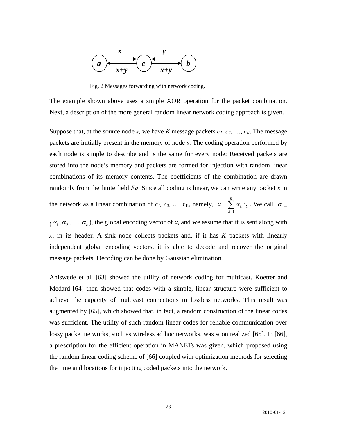

Fig. 2 Messages forwarding with network coding.

The example shown above uses a simple XOR operation for the packet combination. Next, a description of the more general random linear network coding approach is given.

Suppose that, at the source node *s*, we have *K* message packets  $c_1, c_2, ..., c_K$ . The message packets are initially present in the memory of node *s*. The coding operation performed by each node is simple to describe and is the same for every node: Received packets are stored into the node's memory and packets are formed for injection with random linear combinations of its memory contents. The coefficients of the combination are drawn randomly from the finite field *Fq*. Since all coding is linear, we can write any packet *x* in

the network as a linear combination of 
$$
c_1, c_2, ..., c_K
$$
, namely,  $x = \sum_{k=1}^{K} \alpha_k c_k$ . We call  $\alpha =$ 

 $(\alpha_1, \alpha_2, ..., \alpha_k)$ , the global encoding vector of *x*, and we assume that it is sent along with *x*, in its header. A sink node collects packets and, if it has *K* packets with linearly independent global encoding vectors, it is able to decode and recover the original message packets. Decoding can be done by Gaussian elimination.

Ahlswede et al. [63] showed the utility of network coding for multicast. Koetter and Medard [64] then showed that codes with a simple, linear structure were sufficient to achieve the capacity of multicast connections in lossless networks. This result was augmented by [65], which showed that, in fact, a random construction of the linear codes was sufficient. The utility of such random linear codes for reliable communication over lossy packet networks, such as wireless ad hoc networks, was soon realized [65]. In [66], a prescription for the efficient operation in MANETs was given, which proposed using the random linear coding scheme of [66] coupled with optimization methods for selecting the time and locations for injecting coded packets into the network.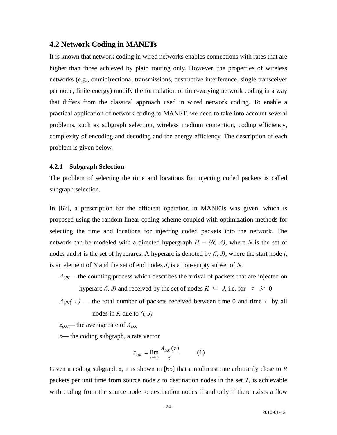#### <span id="page-24-0"></span>**4.2 Network Coding in MANETs**

It is known that network coding in wired networks enables connections with rates that are higher than those achieved by plain routing only. However, the properties of wireless networks (e.g., omnidirectional transmissions, destructive interference, single transceiver per node, finite energy) modify the formulation of time-varying network coding in a way that differs from the classical approach used in wired network coding. To enable a practical application of network coding to MANET, we need to take into account several problems, such as subgraph selection, wireless medium contention, coding efficiency, complexity of encoding and decoding and the energy efficiency. The description of each problem is given below.

#### **4.2.1 Subgraph Selection**

The problem of selecting the time and locations for injecting coded packets is called subgraph selection.

In [67], a prescription for the efficient operation in MANETs was given, which is proposed using the random linear coding scheme coupled with optimization methods for selecting the time and locations for injecting coded packets into the network. The network can be modeled with a directed hypergraph  $H = (N, A)$ , where N is the set of nodes and *A* is the set of hyperarcs. A hyperarc is denoted by *(i, J)*, where the start node *i*, is an element of *N* and the set of end nodes *J*, is a non-empty subset of *N*.

*AiJK*— the counting process which describes the arrival of packets that are injected on

hyperarc *(i, J)* and received by the set of nodes  $K \subseteq J$ , i.e. for  $\tau \geq 0$ 

 $A_{iJK}(\tau)$  — the total number of packets received between time 0 and time  $\tau$  by all nodes in *K* due to *(i, J)*

*ziJK*— the average rate of *AiJK*

*z*— the coding subgraph, a rate vector

$$
z_{iJK} = \lim_{\tau \to \infty} \frac{A_{iJK}(\tau)}{\tau}
$$
 (1)

Given a coding subgraph *z*, it is shown in [65] that a multicast rate arbitrarily close to *R* packets per unit time from source node *s* to destination nodes in the set *T*, is achievable with coding from the source node to destination nodes if and only if there exists a flow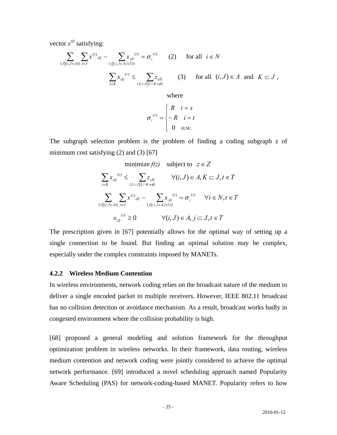<span id="page-25-0"></span>vector  $x^{(t)}$  satisfying:

$$
\sum_{\{J|(i,J\in A)\}} \sum_{j\in J} x^{(i)}_{iJj} - \sum_{\{j|(j,I\in A,i\in I)\}} x_{jIi}^{(i)} = \sigma_i^{(i)} \qquad (2) \qquad \text{for all} \quad i \in N
$$
\n
$$
\sum_{j\in K} x_{iJj}^{(i)} \le \sum_{\{L\subset J|L\cap K \neq \emptyset\}} z_{iJL} \qquad (3) \qquad \text{for all} \quad (i,J) \in A \quad \text{and} \quad K \subset J \;,
$$

where

$$
\sigma_i^{(t)} = \begin{cases} R & i = s \\ -R & i = t \\ 0 & o.w. \end{cases}
$$

The subgraph selection problem is the problem of finding a coding subgraph z of minimum cost satisfying (2) and (3) [67]

$$
\begin{aligned}\n&\text{minimize } f(z) \quad \text{subject to} \quad z \in Z \\
&\sum_{j \in K} x_{ij} \quad \forall (i, J) \in A, K \subset J, t \in T \\
&\sum_{\{J \mid (i, J \in A)\}} \sum_{j \in J} x_{ij} \quad \forall (i, J) \in A, K \subset J, t \in T \\
&\sum_{\{J \mid (i, J \in A)\}} \sum_{j \in J} x_{ij} \quad \forall j \in J, t \in T \\
&\sum_{\{J \mid (j, J \in A, i \in I)\}} \forall (i, J) \in A, j \subset J, t \in T\n\end{aligned}
$$

The prescription given in [67] potentially allows for the optimal way of setting up a single connection to be found. But finding an optimal solution may be complex, specially under the complex constraints imposed by MANETs. e

#### **4.2.2 Wireless Medium Contention**

has no collision detection or avoidance mechanism. As a result, broadcast works badly in congested environment where the collision probability is high. In wireless environments, network coding relies on the broadcast nature of the medium to deliver a single encoded packet to multiple receivers. However, IEEE 802.11 broadcast

[68] proposed a general modeling and solution framework for the throughput optimization problem in wireless networks. In their framework, data routing, wireless medium contention and network coding were jointly considered to achieve the optimal network performance. [69] introduced a novel scheduling approach named Popularity Aware Scheduling (PAS) for network-coding-based MANET. Popularity refers to how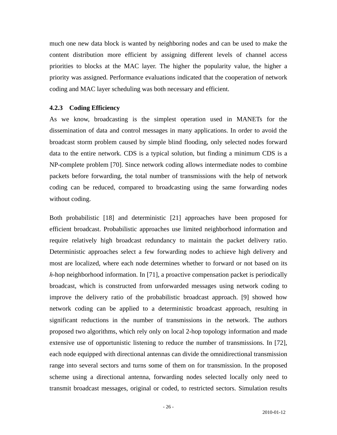<span id="page-26-0"></span>much one new data block is wanted by neighboring nodes and can be used to make the content distribution more efficient by assigning different levels of channel access priorities to blocks at the MAC layer. The higher the popularity value, the higher a priority was assigned. Performance evaluations indicated that the cooperation of network coding and MAC layer scheduling was both necessary and efficient.

#### **4.2.3 Coding Efficiency**

coding can be reduced, compared to broadcasting using the same forwarding nodes without coding. As we know, broadcasting is the simplest operation used in MANETs for the dissemination of data and control messages in many applications. In order to avoid the broadcast storm problem caused by simple blind flooding, only selected nodes forward data to the entire network. CDS is a typical solution, but finding a minimum CDS is a NP-complete problem [70]. Since network coding allows intermediate nodes to combine packets before forwarding, the total number of transmissions with the help of network

transmit broadcast messages, original or coded, to restricted sectors. Simulation results Both probabilistic [18] and deterministic [21] approaches have been proposed for efficient broadcast. Probabilistic approaches use limited neighborhood information and require relatively high broadcast redundancy to maintain the packet delivery ratio. Deterministic approaches select a few forwarding nodes to achieve high delivery and most are localized, where each node determines whether to forward or not based on its *h*-hop neighborhood information. In [71], a proactive compensation packet is periodically broadcast, which is constructed from unforwarded messages using network coding to improve the delivery ratio of the probabilistic broadcast approach. [9] showed how network coding can be applied to a deterministic broadcast approach, resulting in significant reductions in the number of transmissions in the network. The authors proposed two algorithms, which rely only on local 2-hop topology information and made extensive use of opportunistic listening to reduce the number of transmissions. In [72], each node equipped with directional antennas can divide the omnidirectional transmission range into several sectors and turns some of them on for transmission. In the proposed scheme using a directional antenna, forwarding nodes selected locally only need to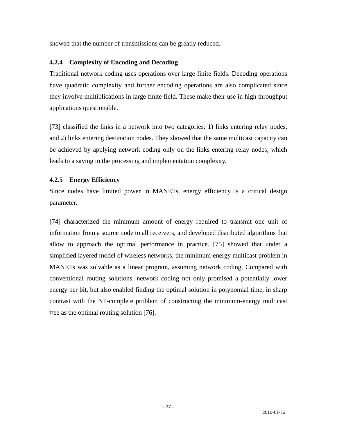<span id="page-27-0"></span>showed that the number of transmissions can be greatly reduced.

#### **4.2.4 Complexity of Encoding and Decoding**

they involve multiplications in large finite field. These make their use in high throughput applications questionable. Traditional network coding uses operations over large finite fields. Decoding operations have quadratic complexity and further encoding operations are also complicated since

be achieved by applying network coding only on the links entering relay nodes, which leads to a saving in the processing and implementation complexity. [73] classified the links in a network into two categories: 1) links entering relay nodes, and 2) links entering destination nodes. They showed that the same multicast capacity can

## **4.2.5 Energy Efficiency**

Since nodes have limited power in MANETs, energy efficiency is a critical design parameter.

contrast with the NP-complete problem of constructing the minimum-energy multicast tree as the optimal routing solution [76]. [74] characterized the minimum amount of energy required to transmit one unit of information from a source node to all receivers, and developed distributed algorithms that allow to approach the optimal performance in practice. [75] showed that under a simplified layered model of wireless networks, the minimum-energy multicast problem in MANETs was solvable as a linear program, assuming network coding. Compared with conventional routing solutions, network coding not only promised a potentially lower energy per bit, but also enabled finding the optimal solution in polynomial time, in sharp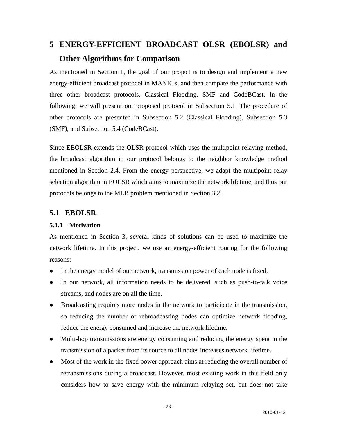# <span id="page-28-0"></span>**5 ENERGY-EFFICIENT BROADCAST OLSR (EBOLSR) and Other Algorithms for Comparison**

As mentioned in Section 1, the goal of our project is to design and implement a new energy-efficient broadcast protocol in MANETs, and then compare the performance with three other broadcast protocols, Classical Flooding, SMF and CodeBCast. In the following, we will present our proposed protocol in Subsection 5.1. The procedure of other protocols are presented in Subsection 5.2 (Classical Flooding), Subsection 5.3 (SMF), and Subsection 5.4 (CodeBCast).

Since EBOLSR extends the OLSR protocol which uses the multipoint relaying method, the broadcast algorithm in our protocol belongs to the neighbor knowledge method mentioned in Section 2.4. From the energy perspective, we adapt the multipoint relay selection algorithm in EOLSR which aims to maximize the network lifetime, and thus our protocols belongs to the MLB problem mentioned in Section 3.2.

## **5.1 EBOLSR**

## **5.1.1 Motivation**

As mentioned in Section 3, several kinds of solutions can be used to maximize the network lifetime. In this project, we use an energy-efficient routing for the following reasons:

- In the energy model of our network, transmission power of each node is fixed.
- In our network, all information needs to be delivered, such as push-to-talk voice streams, and nodes are on all the time.
- Broadcasting requires more nodes in the network to participate in the transmission, so reducing the number of rebroadcasting nodes can optimize network flooding, reduce the energy consumed and increase the network lifetime.
- Multi-hop transmissions are energy consuming and reducing the energy spent in the transmission of a packet from its source to all nodes increases network lifetime.
- Most of the work in the fixed power approach aims at reducing the overall number of retransmissions during a broadcast. However, most existing work in this field only considers how to save energy with the minimum relaying set, but does not take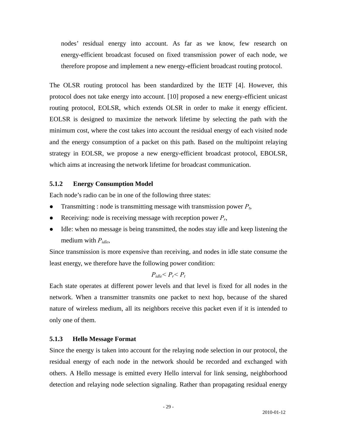<span id="page-29-0"></span>nodes' residual energy into account. As far as we know, few research on energy-efficient broadcast focused on fixed transmission power of each node, we therefore propose and implement a new energy-efficient broadcast routing protocol.

The OLSR routing protocol has been standardized by the IETF [4]. However, this protocol does not take energy into account. [10] proposed a new energy-efficient unicast routing protocol, EOLSR, which extends OLSR in order to make it energy efficient. EOLSR is designed to maximize the network lifetime by selecting the path with the minimum cost, where the cost takes into account the residual energy of each visited node and the energy consumption of a packet on this path. Based on the multipoint relaying strategy in EOLSR, we propose a new energy-efficient broadcast protocol, EBOLSR, which aims at increasing the network lifetime for broadcast communication.

#### **5.1.2 Energy Consumption Model**

Each node's radio can be in one of the following three states:

- Transmitting : node is transmitting message with transmission power  $P_t$ ,
- Receiving: node is receiving message with reception power  $P_r$ ,
- Idle: when no message is being transmitted, the nodes stay idle and keep listening the medium with *Pidle*,

Since transmission is more expensive than receiving, and nodes in idle state consume the least energy, we therefore have the following power condition:

$$
P_{idle} < P_r < P_t
$$

Each state operates at different power levels and that level is fixed for all nodes in the network. When a transmitter transmits one packet to next hop, because of the shared nature of wireless medium, all its neighbors receive this packet even if it is intended to only one of them.

#### **5.1.3 Hello Message Format**

Since the energy is taken into account for the relaying node selection in our protocol, the residual energy of each node in the network should be recorded and exchanged with others. A Hello message is emitted every Hello interval for link sensing, neighborhood detection and relaying node selection signaling. Rather than propagating residual energy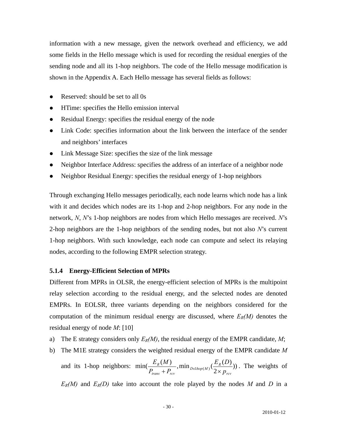<span id="page-30-0"></span>information with a new message, given the network overhead and efficiency, we add some fields in the Hello message which is used for recording the residual energies of the sending node and all its 1-hop neighbors. The code of the Hello message modification is shown in the Appendix A. Each Hello message has several fields as follows:

- Reserved: should be set to all 0s
- HTime: specifies the Hello emission interval
- Residual Energy: specifies the residual energy of the node
- Link Code: specifies information about the link between the interface of the sender and neighbors' interfaces
- Link Message Size: specifies the size of the link message
- Neighbor Interface Address: specifies the address of an interface of a neighbor node
- Neighbor Residual Energy: specifies the residual energy of 1-hop neighbors

Through exchanging Hello messages periodically, each node learns which node has a link with it and decides which nodes are its 1-hop and 2-hop neighbors. For any node in the network, *N*, *N*'s 1-hop neighbors are nodes from which Hello messages are received. *N*'s 2-hop neighbors are the 1-hop neighbors of the sending nodes, but not also *N*'s current 1-hop neighbors. With such knowledge, each node can compute and select its relaying nodes, according to the following EMPR selection strategy.

#### **5.1.4 Energy-Efficient Selection of MPRs**

Different from MPRs in OLSR, the energy-efficient selection of MPRs is the multipoint relay selection according to the residual energy, and the selected nodes are denoted EMPRs. In EOLSR, three variants depending on the neighbors considered for the computation of the minimum residual energy are discussed, where  $E_R(M)$  denotes the residual energy of node *M*: [10]

- a) The E strategy considers only  $E_R(M)$ , the residual energy of the EMPR candidate, M;
- b) The M1E strategy considers the weighted residual energy of the EMPR candidate *M*
	- and its 1-hop neighbors:  $\min(\frac{E_R(M)}{P_{trans}+P_{rev}}, \min_{D \in \text{Ihop}(M)}(\frac{E_R(D)}{2 \times p_{rev}}))$ *rcv*  $D \in \text{1hop}(M)$   $\left(\frac{E_R}{2}\right)$ *trans rcv R p*  $E_R(D)$  $P_{trans} + P_{gas}$  $\frac{E_R(M)}{E_{RMS} + P_{rev}}$ , min<sub>Delhop(M)</sub>( $\frac{E_R(D)}{2 \times p_{rev}}$ )). The weights of

 $E_R(M)$  and  $E_R(D)$  take into account the role played by the nodes M and D in a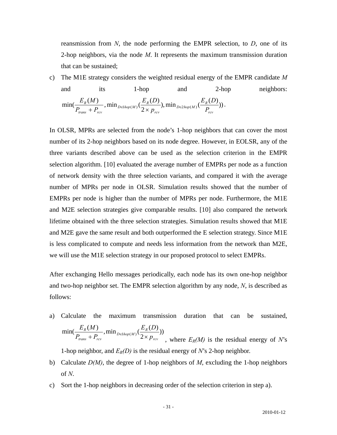reansmission from *N*, the node performing the EMPR selection, to *D*, one of its 2-hop neighbors, via the node *M*. It represents the maximum transmission duration that can be sustained;

c) The M1E strategy considers the weighted residual energy of the EMPR candidate *M* and its 1-hop and 2-hop neighbors:  $\min(\frac{E_R(M)}{P_{trans}+P_{rev}},\min_{D\in\text{Ihop}(M)}(\frac{E_R(D)}{2\times P_{rev}}),\min_{D\in\text{2hop}(M)}(\frac{E_R(D)}{P_{rev}}))$ *rcv*  $D \in 2hop(M)$   $\left(\frac{L_R}{I}\right)$ *rcv*  $D \in \text{1hop}(M)$   $\left(\frac{E_R}{2}\right)$ *trans rcv R P*  $E_R(D)$ *p*  $E_R(D)$  $P_{trans} + P_{gas}$  $\frac{E_R(M)}{E_R(M)}$ ,  $\min_{D \in \text{Ihop}(M)} \left( \frac{E_R(D)}{2 \times p_{rev}} \right), \min_{D \in \text{2hop}(M)} \left( \frac{E_R(D)}{P_{rev}} \right).$ 

In OLSR, MPRs are selected from the node's 1-hop neighbors that can cover the most number of its 2-hop neighbors based on its node degree. However, in EOLSR, any of the three variants described above can be used as the selection criterion in the EMPR selection algorithm. [10] evaluated the average number of EMPRs per node as a function of network density with the three selection variants, and compared it with the average number of MPRs per node in OLSR. Simulation results showed that the number of EMPRs per node is higher than the number of MPRs per node. Furthermore, the M1E and M2E selection strategies give comparable results. [10] also compared the network lifetime obtained with the three selection strategies. Simulation results showed that M1E and M2E gave the same result and both outperformed the E selection strategy. Since M1E is less complicated to compute and needs less information from the network than M2E, we will use the M1E selection strategy in our proposed protocol to select EMPRs.

After exchanging Hello messages periodically, each node has its own one-hop neighbor and two-hop neighbor set. The EMPR selection algorithm by any node, *N*, is described as follows:

a) Calculate the maximum transmission duration that can be sustained,  $\min(\frac{E_R(M)}{P_{trans}+P_{rev}},\min_{D\in\text{Hop}(M)}(\frac{E_R(D)}{2\times p_{rev}}))$ *rcv*  $D \in \text{1hop}(M)$   $\left(\frac{E_R}{2}\right)$ *trans*  $\tau$  *rcv R p*  $E_R(D)$  $P_{trans} + P_{gas}$  $E_R(M)$  $+ P_{rev}$ ,  $\lim_{D \in \text{Top}(M)} \left( \frac{2}{2 \times p_{rev}} \right)$ , where  $E_R(M)$  is the residual energy of *N*'s

1-hop neighbor, and  $E_R(D)$  is the residual energy of *N*'s 2-hop neighbor.

- b) Calculate *D(M)*, the degree of 1-hop neighbors of *M*, excluding the 1-hop neighbors of *N*.
- c) Sort the 1-hop neighbors in decreasing order of the selection criterion in step a).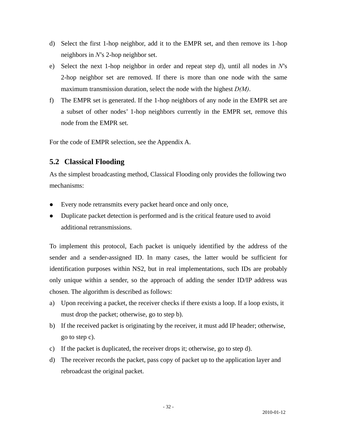- <span id="page-32-0"></span>d) Select the first 1-hop neighbor, add it to the EMPR set, and then remove its 1-hop neighbors in *N*'s 2-hop neighbor set.
- e) Select the next 1-hop neighbor in order and repeat step d), until all nodes in *N*'s 2-hop neighbor set are removed. If there is more than one node with the same maximum transmission duration, select the node with the highest *D(M)*.
- f) The EMPR set is generated. If the 1-hop neighbors of any node in the EMPR set are a subset of other nodes' 1-hop neighbors currently in the EMPR set, remove this node from the EMPR set.

For the code of EMPR selection, see the Appendix A.

## **5.2 Classical Flooding**

As the simplest broadcasting method, Classical Flooding only provides the following two mechanisms:

- Every node retransmits every packet heard once and only once,
- Duplicate packet detection is performed and is the critical feature used to avoid additional retransmissions.

To implement this protocol, Each packet is uniquely identified by the address of the sender and a sender-assigned ID. In many cases, the latter would be sufficient for identification purposes within NS2, but in real implementations, such IDs are probably only unique within a sender, so the approach of adding the sender ID/IP address was chosen. The algorithm is described as follows:

- a) Upon receiving a packet, the receiver checks if there exists a loop. If a loop exists, it must drop the packet; otherwise, go to step b).
- b) If the received packet is originating by the receiver, it must add IP header; otherwise, go to step c).
- c) If the packet is duplicated, the receiver drops it; otherwise, go to step d).
- d) The receiver records the packet, pass copy of packet up to the application layer and rebroadcast the original packet.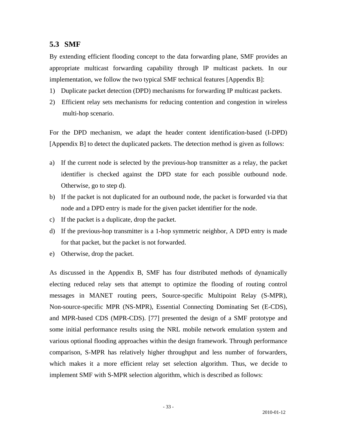#### <span id="page-33-0"></span>**5.3 SMF**

By extending efficient flooding concept to the data forwarding plane, SMF provides an appropriate multicast forwarding capability through IP multicast packets. In our implementation, we follow the two typical SMF technical features [Appendix B]:

- 1) Duplicate packet detection (DPD) mechanisms for forwarding IP multicast packets.
- 2) Efficient relay sets mechanisms for reducing contention and congestion in wireless multi-hop scenario.

For the DPD mechanism, we adapt the header content identification-based (I-DPD) [Appendix B] to detect the duplicated packets. The detection method is given as follows:

- a) If the current node is selected by the previous-hop transmitter as a relay, the packet identifier is checked against the DPD state for each possible outbound node. Otherwise, go to step d).
- b) If the packet is not duplicated for an outbound node, the packet is forwarded via that node and a DPD entry is made for the given packet identifier for the node.
- c) If the packet is a duplicate, drop the packet.
- d) If the previous-hop transmitter is a 1-hop symmetric neighbor, A DPD entry is made for that packet, but the packet is not forwarded.
- e) Otherwise, drop the packet.

As discussed in the Appendix B, SMF has four distributed methods of dynamically electing reduced relay sets that attempt to optimize the flooding of routing control messages in MANET routing peers, Source-specific Multipoint Relay (S-MPR), Non-source-specific MPR (NS-MPR), Essential Connecting Dominating Set (E-CDS), and MPR-based CDS (MPR-CDS). [77] presented the design of a SMF prototype and some initial performance results using the NRL mobile network emulation system and various optional flooding approaches within the design framework. Through performance comparison, S-MPR has relatively higher throughput and less number of forwarders, which makes it a more efficient relay set selection algorithm. Thus, we decide to implement SMF with S-MPR selection algorithm, which is described as follows: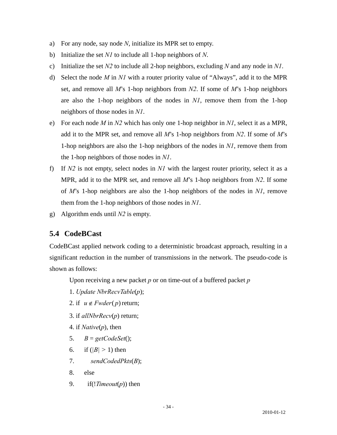- <span id="page-34-0"></span>a) For any node, say node *N*, initialize its MPR set to empty.
- b) Initialize the set *N1* to include all 1-hop neighbors of *N*.
- c) Initialize the set *N2* to include all 2-hop neighbors, excluding *N* and any node in *N1*.
- d) Select the node *M* in *N1* with a router priority value of "Always", add it to the MPR set, and remove all *M*'s 1-hop neighbors from *N2*. If some of *M*'s 1-hop neighbors are also the 1-hop neighbors of the nodes in *N1*, remove them from the 1-hop neighbors of those nodes in *N1*.
- e) For each node *M* in *N2* which has only one 1-hop neighbor in *N1*, select it as a MPR, add it to the MPR set, and remove all *M*'s 1-hop neighbors from *N2*. If some of *M*'s 1-hop neighbors are also the 1-hop neighbors of the nodes in *N1*, remove them from the 1-hop neighbors of those nodes in *N1*.
- f) If *N2* is not empty, select nodes in *N1* with the largest router priority, select it as a MPR, add it to the MPR set, and remove all *M*'s 1-hop neighbors from *N2*. If some of *M*'s 1-hop neighbors are also the 1-hop neighbors of the nodes in *N1*, remove them from the 1-hop neighbors of those nodes in *N1*.
- g) Algorithm ends until *N2* is empty.

## **5.4 CodeBCast**

CodeBCast applied network coding to a deterministic broadcast approach, resulting in a significant reduction in the number of transmissions in the network. The pseudo-code is shown as follows:

Upon receiving a new packet *p* or on time-out of a buffered packet *p* 

- 1. *Update NbrRecvTable*(*p*);
- 2. if  $u \notin Fwder(p)$  return;
- 3. if *allNbrRecv*(*p*) return;
- 4. if *Native*(*p*), then
- 5.  $B = getCodeSet$ ;
- 6. if  $(|B| > 1)$  then
- 7. *sendCodedPkts*(*B*);
- 8. else
- 9. if(!*Timeout*(*p*)) then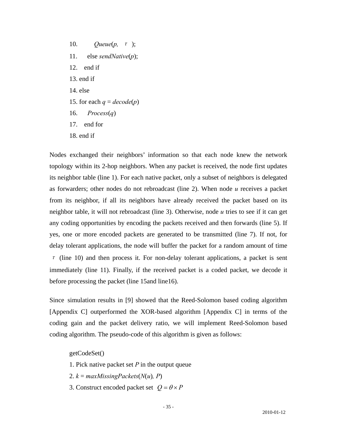10. *Queue(p, τ*); 11. else *sendNative*(*p*); 12. end if 13. end if 14. else 15. for each  $q = decode(p)$ 16. *Process*(*q*) 17. end for 18. end if

Nodes exchanged their neighbors' information so that each node knew the network topology within its 2-hop neighbors. When any packet is received, the node first updates its neighbor table (line 1). For each native packet, only a subset of neighbors is delegated as forwarders; other nodes do not rebroadcast (line 2). When node *u* receives a packet from its neighbor, if all its neighbors have already received the packet based on its neighbor table, it will not rebroadcast (line 3). Otherwise, node *u* tries to see if it can get any coding opportunities by encoding the packets received and then forwards (line 5). If yes, one or more encoded packets are generated to be transmitted (line 7). If not, for delay tolerant applications, the node will buffer the packet for a random amount of time  $\tau$  (line 10) and then process it. For non-delay tolerant applications, a packet is sent immediately (line 11). Finally, if the received packet is a coded packet, we decode it before processing the packet (line 15and line16).

Since simulation results in [9] showed that the Reed-Solomon based coding algorithm [Appendix C] outperformed the XOR-based algorithm [Appendix C] in terms of the coding gain and the packet delivery ratio, we will implement Reed-Solomon based coding algorithm. The pseudo-code of this algorithm is given as follows:

getCodeSet()

- 1. Pick native packet set *P* in the output queue
- 2.  $k = maxMissing Packets(N(u), P)$
- 3. Construct encoded packet set  $Q = \theta \times P$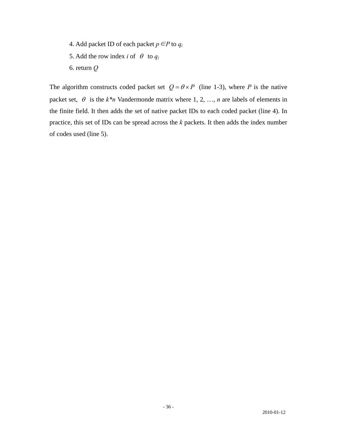- 4. Add packet ID of each packet  $p \in P$  to  $q_i$
- 5. Add the row index *i* of  $\theta$  to  $q_i$
- 6. return *Q*

The algorithm constructs coded packet set  $Q = \theta \times P$  (line 1-3), where *P* is the native packet set,  $\theta$  is the  $k*n$  Vandermonde matrix where 1, 2, ..., *n* are labels of elements in the finite field. It then adds the set of native packet IDs to each coded packet (line 4). In practice, this set of IDs can be spread across the *k* packets. It then adds the index number of codes used (line 5).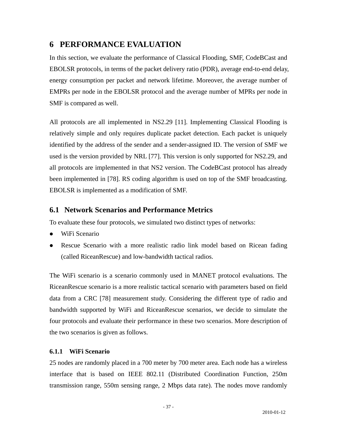# **6 PERFORMANCE EVALUATION**

In this section, we evaluate the performance of Classical Flooding, SMF, CodeBCast and EBOLSR protocols, in terms of the packet delivery ratio (PDR), average end-to-end delay, energy consumption per packet and network lifetime. Moreover, the average number of EMPRs per node in the EBOLSR protocol and the average number of MPRs per node in SMF is compared as well.

All protocols are all implemented in NS2.29 [11]. Implementing Classical Flooding is relatively simple and only requires duplicate packet detection. Each packet is uniquely identified by the address of the sender and a sender-assigned ID. The version of SMF we used is the version provided by NRL [77]. This version is only supported for NS2.29, and all protocols are implemented in that NS2 version. The CodeBCast protocol has already been implemented in [78]. RS coding algorithm is used on top of the SMF broadcasting. EBOLSR is implemented as a modification of SMF.

## **6.1 Network Scenarios and Performance Metrics**

To evaluate these four protocols, we simulated two distinct types of networks:

- WiFi Scenario
- Rescue Scenario with a more realistic radio link model based on Ricean fading (called RiceanRescue) and low-bandwidth tactical radios.

The WiFi scenario is a scenario commonly used in MANET protocol evaluations. The RiceanRescue scenario is a more realistic tactical scenario with parameters based on field data from a CRC [78] measurement study. Considering the different type of radio and bandwidth supported by WiFi and RiceanRescue scenarios, we decide to simulate the four protocols and evaluate their performance in these two scenarios. More description of the two scenarios is given as follows.

## **6.1.1 WiFi Scenario**

25 nodes are randomly placed in a 700 meter by 700 meter area. Each node has a wireless interface that is based on IEEE 802.11 (Distributed Coordination Function, 250m transmission range, 550m sensing range, 2 Mbps data rate). The nodes move randomly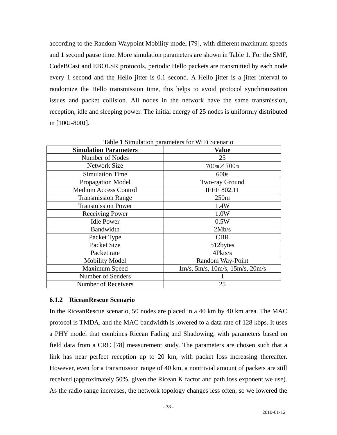according to the Random Waypoint Mobility model [79], with different maximum speeds and 1 second pause time. More simulation parameters are shown in Table 1. For the SMF, CodeBCast and EBOLSR protocols, periodic Hello packets are transmitted by each node every 1 second and the Hello jitter is 0.1 second. A Hello jitter is a jitter interval to randomize the Hello transmission time, this helps to avoid protocol synchronization issues and packet collision. All nodes in the network have the same transmission, reception, idle and sleeping power. The initial energy of 25 nodes is uniformly distributed in [100J-800J].

| <b>Simulation Parameters</b> | <b>Value</b>                               |  |  |
|------------------------------|--------------------------------------------|--|--|
| Number of Nodes              | 25                                         |  |  |
| <b>Network Size</b>          | $700m \times 700m$                         |  |  |
| <b>Simulation Time</b>       | 600s                                       |  |  |
| <b>Propagation Model</b>     | Two-ray Ground                             |  |  |
| <b>Medium Access Control</b> | <b>IEEE 802.11</b>                         |  |  |
| <b>Transmission Range</b>    | 250m                                       |  |  |
| <b>Transmission Power</b>    | 1.4W                                       |  |  |
| <b>Receiving Power</b>       | 1.0W                                       |  |  |
| <b>Idle Power</b>            | 0.5W                                       |  |  |
| <b>Bandwidth</b>             | 2Mb/s                                      |  |  |
| Packet Type                  | <b>CBR</b>                                 |  |  |
| Packet Size                  | 512bytes                                   |  |  |
| Packet rate                  | 4Pkts/s                                    |  |  |
| <b>Mobility Model</b>        | Random Way-Point                           |  |  |
| Maximum Speed                | $1m/s$ , 5m/s, $10m/s$ , $15m/s$ , $20m/s$ |  |  |
| Number of Senders            |                                            |  |  |
| Number of Receivers          | 25                                         |  |  |

Table 1 Simulation parameters for WiFi Scenario

#### **6.1.2 RiceanRescue Scenario**

In the RiceanRescue scenario, 50 nodes are placed in a 40 km by 40 km area. The MAC protocol is TMDA, and the MAC bandwidth is lowered to a data rate of 128 kbps. It uses a PHY model that combines Ricean Fading and Shadowing, with parameters based on field data from a CRC [78] measurement study. The parameters are chosen such that a link has near perfect reception up to 20 km, with packet loss increasing thereafter. However, even for a transmission range of 40 km, a nontrivial amount of packets are still received (approximately 50%, given the Ricean K factor and path loss exponent we use). As the radio range increases, the network topology changes less often, so we lowered the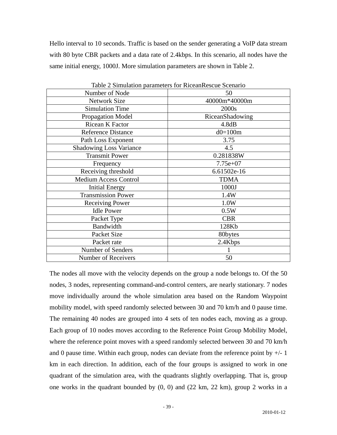Hello interval to 10 seconds. Traffic is based on the sender generating a VoIP data stream with 80 byte CBR packets and a data rate of 2.4kbps. In this scenario, all nodes have the same initial energy, 1000J. More simulation parameters are shown in Table 2.

| Table 2 Stiffuation parameters for KiccanKescue Sechario |                 |  |  |  |
|----------------------------------------------------------|-----------------|--|--|--|
| Number of Node                                           | 50              |  |  |  |
| <b>Network Size</b>                                      | 40000m*40000m   |  |  |  |
| <b>Simulation Time</b>                                   | 2000s           |  |  |  |
| Propagation Model                                        | RiceanShadowing |  |  |  |
| Ricean K Factor                                          | 4.8dB           |  |  |  |
| <b>Reference Distance</b>                                | $d0=100m$       |  |  |  |
| Path Loss Exponent                                       | 3.75            |  |  |  |
| <b>Shadowing Loss Variance</b>                           | 4.5             |  |  |  |
| <b>Transmit Power</b>                                    | 0.281838W       |  |  |  |
| Frequency                                                | $7.75e+07$      |  |  |  |
| Receiving threshold                                      | 6.61502e-16     |  |  |  |
| <b>Medium Access Control</b>                             | <b>TDMA</b>     |  |  |  |
| <b>Initial Energy</b>                                    | 1000J           |  |  |  |
| <b>Transmission Power</b>                                | 1.4W            |  |  |  |
| <b>Receiving Power</b>                                   | 1.0W            |  |  |  |
| <b>Idle Power</b>                                        | 0.5W            |  |  |  |
| Packet Type                                              | <b>CBR</b>      |  |  |  |
| Bandwidth                                                | 128Kb           |  |  |  |
| Packet Size                                              | 80bytes         |  |  |  |
| Packet rate                                              | 2.4Kbps         |  |  |  |
| Number of Senders                                        |                 |  |  |  |
| <b>Number of Receivers</b>                               | 50              |  |  |  |
|                                                          |                 |  |  |  |

Table 2 Simulation parameters for RiceanRescue Scenario

The nodes all move with the velocity depends on the group a node belongs to. Of the 50 nodes, 3 nodes, representing command-and-control centers, are nearly stationary. 7 nodes move individually around the whole simulation area based on the Random Waypoint mobility model, with speed randomly selected between 30 and 70 km/h and 0 pause time. The remaining 40 nodes are grouped into 4 sets of ten nodes each, moving as a group. Each group of 10 nodes moves according to the Reference Point Group Mobility Model, where the reference point moves with a speed randomly selected between 30 and 70 km/h and 0 pause time. Within each group, nodes can deviate from the reference point by  $+/-1$ km in each direction. In addition, each of the four groups is assigned to work in one quadrant of the simulation area, with the quadrants slightly overlapping. That is, group one works in the quadrant bounded by (0, 0) and (22 km, 22 km), group 2 works in a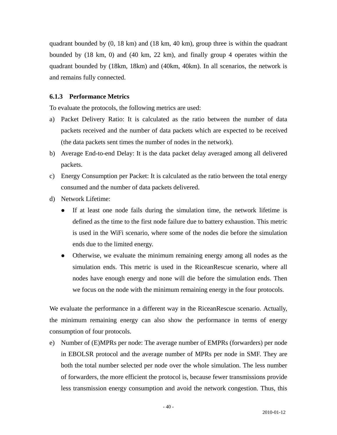quadrant bounded by (0, 18 km) and (18 km, 40 km), group three is within the quadrant bounded by (18 km, 0) and (40 km, 22 km), and finally group 4 operates within the quadrant bounded by (18km, 18km) and (40km, 40km). In all scenarios, the network is and remains fully connected.

#### **6.1.3 Performance Metrics**

To evaluate the protocols, the following metrics are used:

- a) Packet Delivery Ratio: It is calculated as the ratio between the number of data packets received and the number of data packets which are expected to be received (the data packets sent times the number of nodes in the network).
- b) Average End-to-end Delay: It is the data packet delay averaged among all delivered packets.
- c) Energy Consumption per Packet: It is calculated as the ratio between the total energy consumed and the number of data packets delivered.
- d) Network Lifetime:
	- If at least one node fails during the simulation time, the network lifetime is defined as the time to the first node failure due to battery exhaustion. This metric is used in the WiFi scenario, where some of the nodes die before the simulation ends due to the limited energy.
	- Otherwise, we evaluate the minimum remaining energy among all nodes as the simulation ends. This metric is used in the RiceanRescue scenario, where all nodes have enough energy and none will die before the simulation ends. Then we focus on the node with the minimum remaining energy in the four protocols.

We evaluate the performance in a different way in the RiceanRescue scenario. Actually, the minimum remaining energy can also show the performance in terms of energy consumption of four protocols.

e) Number of (E)MPRs per node: The average number of EMPRs (forwarders) per node in EBOLSR protocol and the average number of MPRs per node in SMF. They are both the total number selected per node over the whole simulation. The less number of forwarders, the more efficient the protocol is, because fewer transmissions provide less transmission energy consumption and avoid the network congestion. Thus, this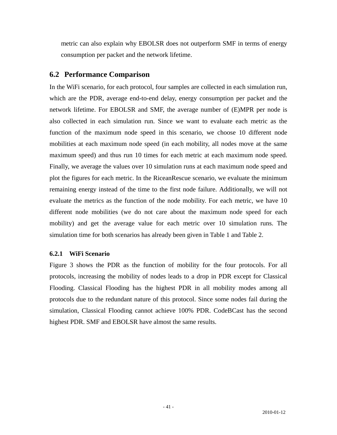metric can also explain why EBOLSR does not outperform SMF in terms of energy consumption per packet and the network lifetime.

## **6.2 Performance Comparison**

In the WiFi scenario, for each protocol, four samples are collected in each simulation run, which are the PDR, average end-to-end delay, energy consumption per packet and the network lifetime. For EBOLSR and SMF, the average number of (E)MPR per node is also collected in each simulation run. Since we want to evaluate each metric as the function of the maximum node speed in this scenario, we choose 10 different node mobilities at each maximum node speed (in each mobility, all nodes move at the same maximum speed) and thus run 10 times for each metric at each maximum node speed. Finally, we average the values over 10 simulation runs at each maximum node speed and plot the figures for each metric. In the RiceanRescue scenario, we evaluate the minimum remaining energy instead of the time to the first node failure. Additionally, we will not evaluate the metrics as the function of the node mobility. For each metric, we have 10 different node mobilities (we do not care about the maximum node speed for each mobility) and get the average value for each metric over 10 simulation runs. The simulation time for both scenarios has already been given in Table 1 and Table 2.

#### **6.2.1 WiFi Scenario**

Figure 3 shows the PDR as the function of mobility for the four protocols. For all protocols, increasing the mobility of nodes leads to a drop in PDR except for Classical Flooding. Classical Flooding has the highest PDR in all mobility modes among all protocols due to the redundant nature of this protocol. Since some nodes fail during the simulation, Classical Flooding cannot achieve 100% PDR. CodeBCast has the second highest PDR. SMF and EBOLSR have almost the same results.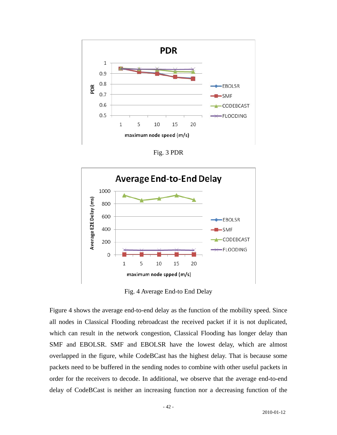

Fig. 3 PDR



Fig. 4 Average End-to End Delay

Figure 4 shows the average end-to-end delay as the function of the mobility speed. Since all nodes in Classical Flooding rebroadcast the received packet if it is not duplicated, which can result in the network congestion, Classical Flooding has longer delay than SMF and EBOLSR. SMF and EBOLSR have the lowest delay, which are almost overlapped in the figure, while CodeBCast has the highest delay. That is because some packets need to be buffered in the sending nodes to combine with other useful packets in order for the receivers to decode. In additional, we observe that the average end-to-end delay of CodeBCast is neither an increasing function nor a decreasing function of the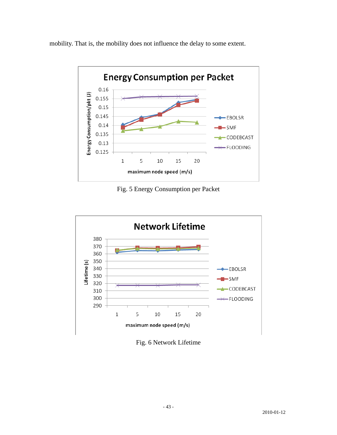mobility. That is, the mobility does not influence the delay to some extent.



Fig. 5 Energy Consumption per Packet



Fig. 6 Network Lifetime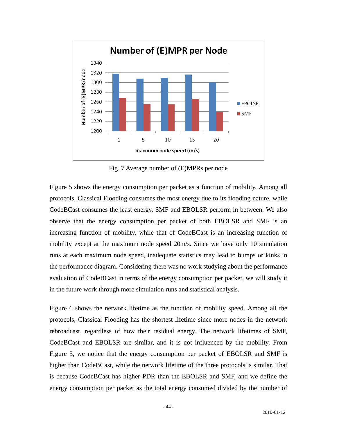

Fig. 7 Average number of (E)MPRs per node

Figure 5 shows the energy consumption per packet as a function of mobility. Among all protocols, Classical Flooding consumes the most energy due to its flooding nature, while CodeBCast consumes the least energy. SMF and EBOLSR perform in between. We also observe that the energy consumption per packet of both EBOLSR and SMF is an increasing function of mobility, while that of CodeBCast is an increasing function of mobility except at the maximum node speed 20m/s. Since we have only 10 simulation runs at each maximum node speed, inadequate statistics may lead to bumps or kinks in the performance diagram. Considering there was no work studying about the performance evaluation of CodeBCast in terms of the energy consumption per packet, we will study it in the future work through more simulation runs and statistical analysis.

Figure 6 shows the network lifetime as the function of mobility speed. Among all the protocols, Classical Flooding has the shortest lifetime since more nodes in the network rebroadcast, regardless of how their residual energy. The network lifetimes of SMF, CodeBCast and EBOLSR are similar, and it is not influenced by the mobility. From Figure 5, we notice that the energy consumption per packet of EBOLSR and SMF is higher than CodeBCast, while the network lifetime of the three protocols is similar. That is because CodeBCast has higher PDR than the EBOLSR and SMF, and we define the energy consumption per packet as the total energy consumed divided by the number of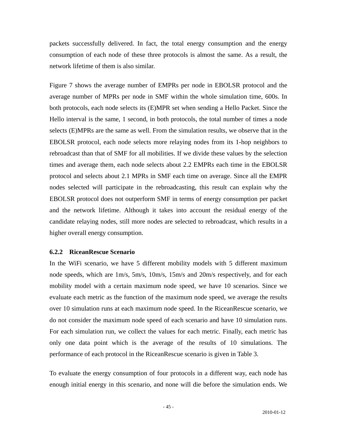packets successfully delivered. In fact, the total energy consumption and the energy consumption of each node of these three protocols is almost the same. As a result, the network lifetime of them is also similar.

Figure 7 shows the average number of EMPRs per node in EBOLSR protocol and the average number of MPRs per node in SMF within the whole simulation time, 600s. In both protocols, each node selects its (E)MPR set when sending a Hello Packet. Since the Hello interval is the same, 1 second, in both protocols, the total number of times a node selects (E)MPRs are the same as well. From the simulation results, we observe that in the EBOLSR protocol, each node selects more relaying nodes from its 1-hop neighbors to rebroadcast than that of SMF for all mobilities. If we divide these values by the selection times and average them, each node selects about 2.2 EMPRs each time in the EBOLSR protocol and selects about 2.1 MPRs in SMF each time on average. Since all the EMPR nodes selected will participate in the rebroadcasting, this result can explain why the EBOLSR protocol does not outperform SMF in terms of energy consumption per packet and the network lifetime. Although it takes into account the residual energy of the candidate relaying nodes, still more nodes are selected to rebroadcast, which results in a higher overall energy consumption.

#### **6.2.2 RiceanRescue Scenario**

In the WiFi scenario, we have 5 different mobility models with 5 different maximum node speeds, which are 1m/s, 5m/s, 10m/s, 15m/s and 20m/s respectively, and for each mobility model with a certain maximum node speed, we have 10 scenarios. Since we evaluate each metric as the function of the maximum node speed, we average the results over 10 simulation runs at each maximum node speed. In the RiceanRescue scenario, we do not consider the maximum node speed of each scenario and have 10 simulation runs. For each simulation run, we collect the values for each metric. Finally, each metric has only one data point which is the average of the results of 10 simulations. The performance of each protocol in the RiceanRescue scenario is given in Table 3.

To evaluate the energy consumption of four protocols in a different way, each node has enough initial energy in this scenario, and none will die before the simulation ends. We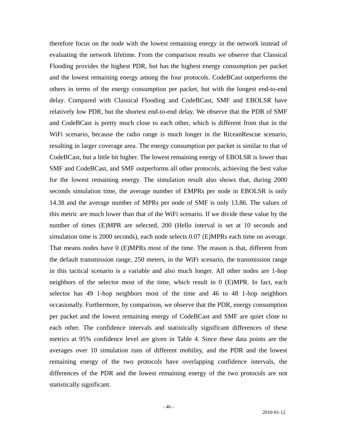therefore focus on the node with the lowest remaining energy in the network instead of evaluating the network lifetime. From the comparison results we observe that Classical Flooding provides the highest PDR, but has the highest energy consumption per packet and the lowest remaining energy among the four protocols. CodeBCast outperforms the others in terms of the energy consumption per packet, but with the longest end-to-end delay. Compared with Classical Flooding and CodeBCast, SMF and EBOLSR have relatively low PDR, but the shortest end-to-end delay. We observe that the PDR of SMF and CodeBCast is pretty much close to each other, which is different from that in the WiFi scenario, because the radio range is much longer in the RiceanRescue scenario, resulting in larger coverage area. The energy consumption per packet is similar to that of CodeBCast, but a little bit higher. The lowest remaining energy of EBOLSR is lower than SMF and CodeBCast, and SMF outperforms all other protocols, achieving the best value for the lowest remaining energy. The simulation result also shows that, during 2000 seconds simulation time, the average number of EMPRs per node in EBOLSR is only 14.38 and the average number of MPRs per node of SMF is only 13.86. The values of this metric are much lower than that of the WiFi scenario. If we divide these value by the number of times (E)MPR are selected, 200 (Hello interval is set at 10 seconds and simulation time is 2000 seconds), each node selects 0.07 (E)MPRs each time on average. That means nodes have 0 (E)MPRs most of the time. The reason is that, different from the default transmission range, 250 meters, in the WiFi scenario, the transmission range in this tactical scenario is a variable and also much longer. All other nodes are 1-hop neighbors of the selector most of the time, which result in 0 (E)MPR. In fact, each selector has 49 1-hop neighbors most of the time and 46 to 48 1-hop neighbors occasionally. Furthermore, by comparison, we observe that the PDR, energy consumption per packet and the lowest remaining energy of CodeBCast and SMF are quiet close to each other. The confidence intervals and statistically significant differences of these metrics at 95% confidence level are given in Table 4. Since these data points are the averages over 10 simulation runs of different mobility, and the PDR and the lowest remaining energy of the two protocols have overlapping confidence intervals, the differences of the PDR and the lowest remaining energy of the two protocols are not statistically significant.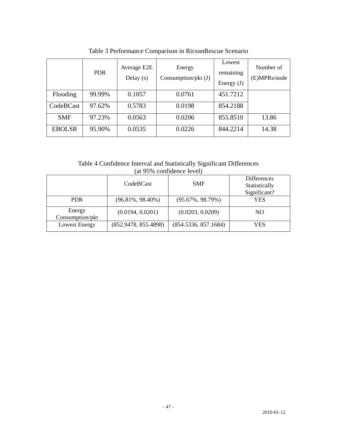|               | <b>PDR</b> | Average E2E<br>Delay $(s)$ | Energy<br>Consumption/pkt $(J)$ | Lowest<br>remaining<br>Energy $(J)$ | Number of<br>(E)MPRs/node |
|---------------|------------|----------------------------|---------------------------------|-------------------------------------|---------------------------|
| Flooding      | 99.99%     | 0.1057                     | 0.0761                          | 451.7212                            |                           |
| CodeBCast     | 97.62%     | 0.5783                     | 0.0198                          | 854.2188                            |                           |
| <b>SMF</b>    | 97.23%     | 0.0563                     | 0.0206                          | 855.8510                            | 13.86                     |
| <b>EBOLSR</b> | 95.90%     | 0.0535                     | 0.0226                          | 844.2214                            | 14.38                     |

Table 3 Performance Comparison in RiceanRescue Scenario

Table 4 Confidence Interval and Statistically Significant Differences (at 95% confidence level)

|                           | CodeBCast            | <b>SMF</b>           | <b>Differences</b><br>Statistically<br>Significant? |
|---------------------------|----------------------|----------------------|-----------------------------------------------------|
| <b>PDR</b>                | $(96.81\%, 98.40\%)$ | $(95.67\%, 98.79\%)$ | YES                                                 |
| Energy<br>Consumption/pkt | (0.0194, 0.0201)     | (0.0203, 0.0209)     | NO.                                                 |
| <b>Lowest Energy</b>      | (852.9478, 855.4898) | (854.5336, 857.1684) | YES                                                 |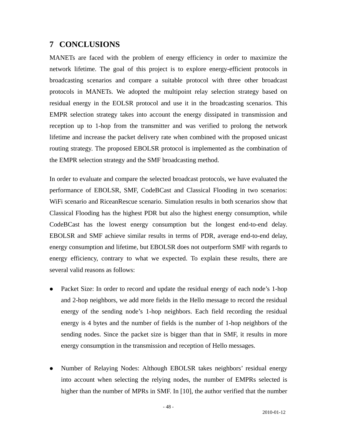# **7 CONCLUSIONS**

MANETs are faced with the problem of energy efficiency in order to maximize the network lifetime. The goal of this project is to explore energy-efficient protocols in broadcasting scenarios and compare a suitable protocol with three other broadcast protocols in MANETs. We adopted the multipoint relay selection strategy based on residual energy in the EOLSR protocol and use it in the broadcasting scenarios. This EMPR selection strategy takes into account the energy dissipated in transmission and reception up to 1-hop from the transmitter and was verified to prolong the network lifetime and increase the packet delivery rate when combined with the proposed unicast routing strategy. The proposed EBOLSR protocol is implemented as the combination of the EMPR selection strategy and the SMF broadcasting method.

In order to evaluate and compare the selected broadcast protocols, we have evaluated the performance of EBOLSR, SMF, CodeBCast and Classical Flooding in two scenarios: WiFi scenario and RiceanRescue scenario. Simulation results in both scenarios show that Classical Flooding has the highest PDR but also the highest energy consumption, while CodeBCast has the lowest energy consumption but the longest end-to-end delay. EBOLSR and SMF achieve similar results in terms of PDR, average end-to-end delay, energy consumption and lifetime, but EBOLSR does not outperform SMF with regards to energy efficiency, contrary to what we expected. To explain these results, there are several valid reasons as follows:

- Packet Size: In order to record and update the residual energy of each node's 1-hop and 2-hop neighbors, we add more fields in the Hello message to record the residual energy of the sending node's 1-hop neighbors. Each field recording the residual energy is 4 bytes and the number of fields is the number of 1-hop neighbors of the sending nodes. Since the packet size is bigger than that in SMF, it results in more energy consumption in the transmission and reception of Hello messages.
- Number of Relaying Nodes: Although EBOLSR takes neighbors' residual energy into account when selecting the relying nodes, the number of EMPRs selected is higher than the number of MPRs in SMF. In [10], the author verified that the number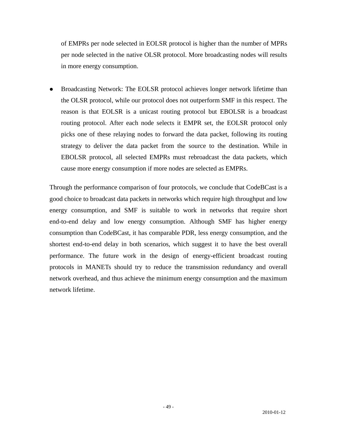of EMPRs per node selected in EOLSR protocol is higher than the number of MPRs per node selected in the native OLSR protocol. More broadcasting nodes will results in more energy consumption.

• Broadcasting Network: The EOLSR protocol achieves longer network lifetime than the OLSR protocol, while our protocol does not outperform SMF in this respect. The reason is that EOLSR is a unicast routing protocol but EBOLSR is a broadcast routing protocol. After each node selects it EMPR set, the EOLSR protocol only picks one of these relaying nodes to forward the data packet, following its routing strategy to deliver the data packet from the source to the destination. While in EBOLSR protocol, all selected EMPRs must rebroadcast the data packets, which cause more energy consumption if more nodes are selected as EMPRs.

Through the performance comparison of four protocols, we conclude that CodeBCast is a good choice to broadcast data packets in networks which require high throughput and low energy consumption, and SMF is suitable to work in networks that require short end-to-end delay and low energy consumption. Although SMF has higher energy consumption than CodeBCast, it has comparable PDR, less energy consumption, and the shortest end-to-end delay in both scenarios, which suggest it to have the best overall performance. The future work in the design of energy-efficient broadcast routing protocols in MANETs should try to reduce the transmission redundancy and overall network overhead, and thus achieve the minimum energy consumption and the maximum network lifetime.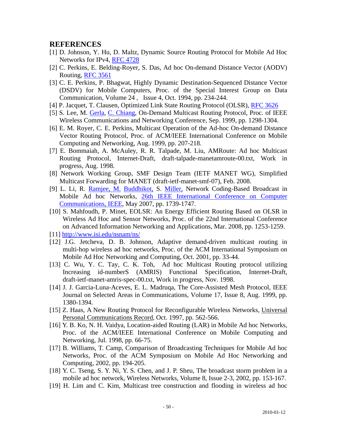## **REFERENCES**

- [1] D. Johnson, Y. Hu, D. Maltz, Dynamic Source Routing Protocol for Mobile Ad Hoc Networks for IPv4, [RFC 4728](http://tools.ietf.org/html/rfc4728)
- [2] C. Perkins, E. Belding-Royer, S. Das, Ad hoc On-demand Distance Vector (AODV) Routing, [RFC 3561](http://tools.ietf.org/html/rfc3561)
- [3] C. E. Perkins, P. Bhagwat, Highly Dynamic Destination-Sequenced Distance Vector (DSDV) for Mobile Computers, Proc. of the Special Interest Group on Data Communication, Volume 24 , Issue 4, Oct. 1994, pp. 234-244.
- [4] P. Jacquet, T. Clausen, Optimized Link State Routing Protocol (OLSR), [RFC 3626](http://tools.ietf.org/html/rfc3626)
- [5] S. Lee, M. [Gerla,](http://www.engineeringvillage2.org.proxy.bib.uottawa.ca/controller/servlet/Controller?CID=quickSearchCitationFormat&searchWord1=%7bGerla%2C+M.%7d§ion1=AU&database=3&yearselect=yearrange&sort=yr) [C. Chiang,](http://www.engineeringvillage2.org.proxy.bib.uottawa.ca/controller/servlet/Controller?CID=quickSearchCitationFormat&searchWord1=%7bChing-Chuan+Chiang%7d§ion1=AU&database=3&yearselect=yearrange&sort=yr) On-Demand Multicast Routing Protocol, Proc. of IEEE Wireless Communications and Networking Conference, Sep. 1999, pp. 1298-1304.
- [6] E. M. Royer, C. E. Perkins, Multicast Operation of the Ad-hoc On-demand Distance Vector Routing Protocol, Proc. of ACM/IEEE International Conference on Mobile Computing and Networking, Aug. 1999, pp. 207-218.
- [7] E. Bommaiah, A. McAuley, R. R. Talpade, M. Liu, AMRoute: Ad hoc Multicast Routing Protocol, Internet-Draft, draft-talpade-manetamroute-00.txt, Work in progress, Aug. 1998.
- [8] Network Working Group, SMF Design Team (IETF MANET WG), Simplified Multicast Forwarding for MANET (draft-ietf-manet-smf-07), Feb. 2008.
- [9] L. Li, R. [Ramjee, M.](http://www.engineeringvillage2.org.proxy.bib.uottawa.ca/controller/servlet/Controller?CID=quickSearchCitationFormat&searchWord1=%7bRamjee%2C+R.%7d§ion1=AU&database=3&yearselect=yearrange&sort=yr) [Buddhikot,](http://www.engineeringvillage2.org.proxy.bib.uottawa.ca/controller/servlet/Controller?CID=quickSearchCitationFormat&searchWord1=%7bBuddhikot%2C+M.%7d§ion1=AU&database=3&yearselect=yearrange&sort=yr) S. [Miller,](http://www.engineeringvillage2.org.proxy.bib.uottawa.ca/controller/servlet/Controller?CID=quickSearchCitationFormat&searchWord1=%7bMiller%2C+S.%7d§ion1=AU&database=3&yearselect=yearrange&sort=yr) Network Coding-Based Broadcast in Mobile Ad hoc Networks, [26th IEEE International Conference on Computer](http://ieeexplore.ieee.org/xpl/RecentCon.jsp?punumber=4215581)  [Communications, IEEE](http://ieeexplore.ieee.org/xpl/RecentCon.jsp?punumber=4215581), May 2007, pp. 1739-1747.
- [10] S. Mahfoudh, P. Minet, EOLSR: An Energy Efficient Routing Based on OLSR in Wireless Ad Hoc and Sensor Networks, Proc. of the 22nd International Conference on Advanced Information Networking and Applications, Mar. 2008, pp. 1253-1259.
- [11] <http://www.isi.edu/nsnam/ns/>
- [12] J.G. Jetcheva, D. B. Johnson, Adaptive demand-driven multicast routing in multi-hop wireless ad hoc networks, Proc. of the ACM International Symposium on Mobile Ad Hoc Networking and Computing, Oct. 2001, pp. 33-44.
- [13] C. Wu, Y. C. Tay, C. K. Toh, Ad hoc Multicast Routing protocol utilizing Increasing id-numberS (AMRIS) Functional Specification, Internet-Draft, draft-ietf-manet-amris-spec-00.txt, Work in progress, Nov. 1998.
- [14] J. J. Garcia-Luna-Aceves, E. L. Madruqa, The Core-Assisted Mesh Protocol, IEEE Journal on Selected Areas in Communications, Volume 17, Issue 8, Aug. 1999, pp. 1380-1394.
- [15] Z. Haas, A New Routing Protocol for Reconfigurable Wireless Networks, [Universal](http://ieeexplore.ieee.org/xpl/RecentCon.jsp?punumber=4940)  [Personal Communications Record,](http://ieeexplore.ieee.org/xpl/RecentCon.jsp?punumber=4940) Oct. 1997, pp. 562-566.
- [16] Y. B. Ko, N. H. Vaidya, Location-aided Routing (LAR) in Mobile Ad hoc Networks, Proc. of the ACM/IEEE International Conference on Mobile Computing and Networking, Jul. 1998, pp. 66-75.
- [17] B. Williams, T. Camp, Comparison of Broadcasting Techniques for Mobile Ad hoc Networks, Proc. of the ACM Symposium on Mobile Ad Hoc Networking and Computing, 2002, pp. 194-205.
- [18] Y. C. Tseng, S. Y. Ni, Y. S. Chen, and J. P. Sheu, The broadcast storm problem in a mobile ad hoc network, Wireless Networks, Volume 8, Issue 2-3, 2002, pp. 153-167.
- [19] H. Lim and C. Kim, Multicast tree construction and flooding in wireless ad hoc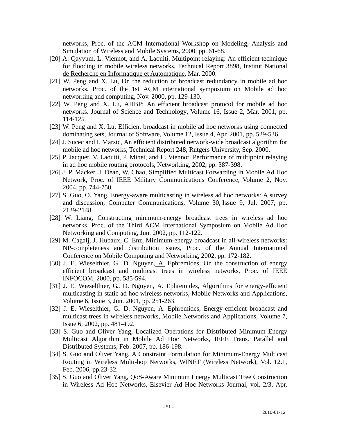networks, Proc. of the ACM International Workshop on Modeling, Analysis and Simulation of Wireless and Mobile Systems, 2000, pp. 61-68.

- [20] A. Qayyum, L. Viennot, and A. Laouiti, Multipoint relaying: An efficient technique for flooding in mobile wireless networks, Technical Report 3898, [Institut National](http://www.inria.fr/)  [de Recherche en Informatique et Automatique,](http://www.inria.fr/) Mar. 2000.
- [21] W. Peng and X. Lu, On the reduction of broadcast redundancy in mobile ad hoc networks, Proc. of the 1st ACM international symposium on Mobile ad hoc networking and computing, Nov. 2000, pp. 129-130.
- [22] W. Peng and X. Lu, AHBP: An efficient broadcast protocol for mobile ad hoc networks. Journal of Science and Technology, Volume 16, Issue 2, Mar. 2001, pp. 114-125.
- [23] W. Peng and X. Lu, Efficient broadcast in mobile ad hoc networks using connected dominating sets, Journal of Software, Volume 12, Issue 4, Apr. 2001, pp. 529-536.
- [24] J. Sucec and I. Marsic, An efficient distributed network-wide broadcast algorithm for mobile ad hoc networks, Technical Report 248, Rutgers University, Sep. 2000.
- [25] P. Jacquet, V. Laouiti, P. Minet, and L. Viennot, Performance of multipoint relaying in ad hoc mobile routing protocols, Networking, 2002, pp. 387-398.
- [26] J. P. Macker, J. Dean, W. Chao, Simplified Multicast Forwarding in Mobile Ad Hoc Network, Proc. of IEEE Military Communications Conference, Volume 2, Nov. 2004, pp. 744-750.
- [27] S. Guo, O. Yang, Energy-aware multicasting in wireless ad hoc networks: A survey and discussion, Computer Communications, Volume 30, Issue 9, Jul. 2007, pp. 2129-2148.
- [28] W. Liang, Constructing minimum-energy broadcast trees in wireless ad hoc networks, Proc. of the Third ACM International Symposium on Mobile Ad Hoc Networking and Computing, Jun. 2002, pp. 112-122.
- [29] M. Cagalj, J. Hubaux, C. Enz, Minimum-energy broadcast in all-wireless networks: NP-completeness and distribution issues, Proc. of the Annual International Conference on Mobile Computing and Networking, 2002, pp. 172-182.
- [30] J. E. Wieselthier, G.. D. Nguyen, [A.](http://www.engineeringvillage2.org.proxy.bib.uottawa.ca/controller/servlet/Controller?CID=quickSearchCitationFormat&searchWord1=%7bEphremides%2C+A.%7d§ion1=AU&database=3&yearselect=yearrange&sort=yr) Ephremides, On the construction of energy efficient broadcast and multicast trees in wireless networks, Proc. of IEEE INFOCOM, 2000, pp. 585-594.
- [31] J. E. Wieselthier, G.. D. Nguyen, A. Ephremides, Algorithms for energy-efficient multicasting in static ad hoc wireless networks, Mobile Networks and Applications, Volume 6, Issue 3, Jun. 2001, pp. 251-263.
- [32] J. E. Wieselthier, G.. D. Nguyen, A. Ephremides, Energy-efficient broadcast and multicast trees in wireless networks, Mobile Networks and Applications, Volume 7, Issue 6, 2002, pp. 481-492.
- [33] S. Guo and Oliver Yang, Localized Operations for Distributed Minimum Energy Multicast Algorithm in Mobile Ad Hoc Networks, IEEE Trans. Parallel and Distributed Systems, Feb. 2007, pp. 186-198.
- [34] S. Guo and Oliver Yang, A Constraint Formulation for Minimum-Energy Multicast Routing in Wireless Multi-hop Networks, WINET (Wireless Network), Vol. 12.1, Feb. 2006, pp.23-32.
- [35] S. Guo and Oliver Yang, QoS-Aware Minimum Energy Multicast Tree Construction in Wireless Ad Hoc Networks, Elsevier Ad Hoc Networks Journal, vol. 2/3, Apr.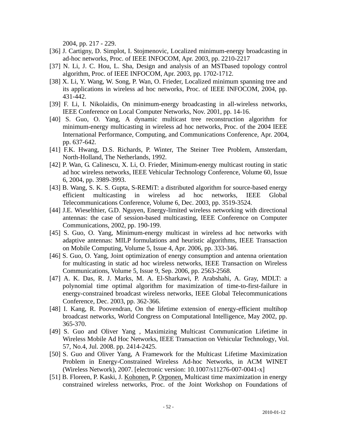2004, pp. 217 - 229.

- [36] J. Cartigny, D. Simplot, I. Stojmenovic, Localized minimum-energy broadcasting in ad-hoc networks, Proc. of IEEE INFOCOM, Apr. 2003, pp. 2210-2217
- [37] N. Li, J. C. Hou, L. Sha, Design and analysis of an MSTbased topology control algorithm, Proc. of IEEE INFOCOM, Apr. 2003, pp. 1702-1712.
- [38] X. Li, Y. Wang, W. Song, P. Wan, O. Frieder, Localized minimum spanning tree and its applications in wireless ad hoc networks, Proc. of IEEE INFOCOM, 2004, pp. 431-442.
- [39] F. Li, I. Nikolaidis, On minimum-energy broadcasting in all-wireless networks, IEEE Conference on Local Computer Networks, Nov. 2001, pp. 14-16.
- [40] S. Guo, O. Yang, A dynamic multicast tree reconstruction algorithm for minimum-energy multicasting in wireless ad hoc networks, Proc. of the 2004 IEEE International Performance, Computing, and Communications Conference, Apr. 2004, pp. 637-642.
- [41] F.K. Hwang, D.S. Richards, P. Winter, The Steiner Tree Problem, Amsterdam, North-Holland, The Netherlands, 1992.
- [42] P. Wan, G. Calinescu, X. Li, O. Frieder, Minimum-energy multicast routing in static ad hoc wireless networks, IEEE Vehicular Technology Conference, Volume 60, Issue 6, 2004, pp. 3989-3993.
- [43] B. Wang, S. K. S. Gupta, S-REMIT: a distributed algorithm for source-based energy efficient multicasting in wireless ad hoc networks, IEEE Global Telecommunications Conference, Volume 6, Dec. 2003, pp. 3519-3524.
- [44] J.E. Wieselthier, G.D. Nguyen, Energy-limited wireless networking with directional antennas: the case of session-based multicasting, IEEE Conference on Computer Communications, 2002, pp. 190-199.
- [45] S. Guo, O. Yang, Minimum-energy multicast in wireless ad hoc networks with adaptive antennas: MILP formulations and heuristic algorithms, IEEE Transaction on Mobile Computing, Volume 5, Issue 4, Apr. 2006, pp. 333-346.
- [46] S. Guo, O. Yang, Joint optimization of energy consumption and antenna orientation for multicasting in static ad hoc wireless networks, IEEE Transaction on Wireless Communications, Volume 5, Issue 9, Sep. 2006, pp. 2563-2568.
- [47] A. K. Das, R. J. Marks, M. A. El-Sharkawi, P. Arabshahi, A. Gray, MDLT: a polynomial time optimal algorithm for maximization of time-to-first-failure in energy-constrained broadcast wireless networks, IEEE Global Telecommunications Conference, Dec. 2003, pp. 362-366.
- [48] I. Kang, R. Poovendran, On the lifetime extension of energy-efficient multihop broadcast networks, World Congress on Computational Intelligence, May 2002, pp. 365-370.
- [49] S. Guo and Oliver Yang , Maximizing Multicast Communication Lifetime in Wireless Mobile Ad Hoc Networks, IEEE Transaction on Vehicular Technology, Vol. 57, No.4, Jul. 2008. pp. 2414-2425.
- [50] S. Guo and Oliver Yang, A Framework for the Multicast Lifetime Maximization Problem in Energy-Constrained Wireless Ad-hoc Networks, in ACM WINET (Wireless Network), 2007. [electronic version: 10.1007/s11276-007-0041-x]
- [51] B. Floreen, P. Kaski, J. [Kohonen,](http://www.engineeringvillage2.org.proxy.bib.uottawa.ca/controller/servlet/Controller?CID=quickSearchCitationFormat&searchWord1=%7bKohonen%2C+Jukka%7d§ion1=AU&database=3&yearselect=yearrange&sort=yr) P. [Orponen,](http://www.engineeringvillage2.org.proxy.bib.uottawa.ca/controller/servlet/Controller?CID=quickSearchCitationFormat&searchWord1=%7bOrponen%2C+Pekka%7d§ion1=AU&database=3&yearselect=yearrange&sort=yr) Multicast time maximization in energy constrained wireless networks, Proc. of the Joint Workshop on Foundations of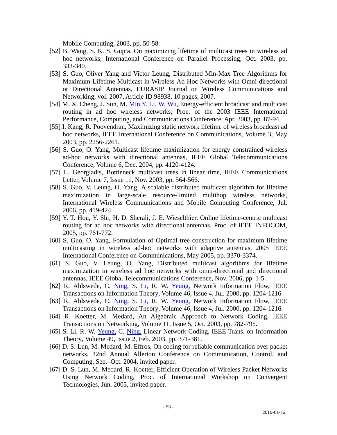Mobile Computing, 2003, pp. 50-58.

- [52] B. Wang, S. K. S. Gupta, On maximizing lifetime of multicast trees in wireless ad hoc networks, International Conference on Parallel Processing, Oct. 2003, pp. 333-340.
- [53] S. Guo, Oliver Yang and Victor Leung, Distributed Min-Max Tree Algorithms for Maximum-Lifetime Multicast in Wireless Ad Hoc Networks with Omni-directional or Directional Antennas, EURASIP Journal on Wireless Communications and Networking, vol. 2007, Article ID 98938, 10 pages, 2007.
- [54] M. X. Cheng, J. Sun, M. Min, Y. [Li, W.](http://www.engineeringvillage2.org.proxy.bib.uottawa.ca/controller/servlet/Controller?CID=quickSearchCitationFormat&searchWord1=%7bLi%2C+Y.%7d§ion1=AU&database=3&yearselect=yearrange&sort=yr) [Wu,](http://www.engineeringvillage2.org.proxy.bib.uottawa.ca/controller/servlet/Controller?CID=quickSearchCitationFormat&searchWord1=%7bWu%2C+W.%7d§ion1=AU&database=3&yearselect=yearrange&sort=yr) Energy-efficient broadcast and multicast routing in ad hoc wireless networks, Proc. of the 2003 IEEE International Performance, Computing, and Communications Conference, Apr. 2003, pp. 87-94.
- [55] I. Kang, R. Poovendran, Maximizing static network lifetime of wireless broadcast ad hoc networks, IEEE International Conference on Communications, Volume 3, May 2003, pp. 2256-2261.
- [56] S. Guo, O. Yang, Multicast lifetime maximization for energy constrained wireless ad-hoc networks with directional antennas, IEEE Global Telecommunications Conference, Volume 6, Dec. 2004, pp. 4120-4124.
- [57] L. Georgiadis, Bottleneck multicast trees in linear time, IEEE Communications Letter, Volume 7, Issue 11, Nov. 2003, pp. 564-566.
- [58] S. Guo, V. Leung, O. Yang, A scalable distributed multicast algorithm for lifetime maximization in large-scale resource-limited multihop wireless networks, International Wireless Communications and Mobile Computing Conference, Jul. 2006, pp. 419-424.
- [59] Y. T. Hou, Y. Shi, H. D. Sherali, J. E. Wieselthier, Online lifetime-centric multicast routing for ad hoc networks with directional antennas, Proc. of IEEE INFOCOM, 2005, pp. 761-772.
- [60] S. Guo, O. Yang, Formulation of Optimal tree construction for maximum lifetime multicasting in wireless ad-hoc networks with adaptive antennas, 2005 IEEE International Conference on Communications, May 2005, pp. 3370-3374.
- [61] S. Guo, V. Leung, O. Yang, Distributed multicast algorithms for lifetime maximization in wireless ad hoc networks with omni-directional and directional antennas, IEEE Global Telecommunications Conference, Nov. 2006, pp. 1-5.
- [62] R. Ahlswede, C. [Ning,](http://www.engineeringvillage2.org.proxy.bib.uottawa.ca/controller/servlet/Controller?CID=quickSearchCitationFormat&searchWord1=%7bNing+Cai%7d§ion1=AU&database=3&yearselect=yearrange&sort=yr) S. [Li,](http://www.engineeringvillage2.org.proxy.bib.uottawa.ca/controller/servlet/Controller?CID=quickSearchCitationFormat&searchWord1=%7bLi%2C+S.-Y.R.%7d§ion1=AU&database=3&yearselect=yearrange&sort=yr) R. W. [Yeung,](http://www.engineeringvillage2.org.proxy.bib.uottawa.ca/controller/servlet/Controller?CID=quickSearchCitationFormat&searchWord1=%7bYeung%2C+R.W.%7d§ion1=AU&database=3&yearselect=yearrange&sort=yr) Network Information Flow, IEEE Transactions on Information Theory, Volume 46, Issue 4, Jul. 2000, pp. 1204-1216.
- [63] R. Ahlswede, C. [Ning,](http://www.engineeringvillage2.org.proxy.bib.uottawa.ca/controller/servlet/Controller?CID=quickSearchCitationFormat&searchWord1=%7bNing+Cai%7d§ion1=AU&database=3&yearselect=yearrange&sort=yr) S. [Li,](http://www.engineeringvillage2.org.proxy.bib.uottawa.ca/controller/servlet/Controller?CID=quickSearchCitationFormat&searchWord1=%7bLi%2C+S.-Y.R.%7d§ion1=AU&database=3&yearselect=yearrange&sort=yr) R. W. [Yeung,](http://www.engineeringvillage2.org.proxy.bib.uottawa.ca/controller/servlet/Controller?CID=quickSearchCitationFormat&searchWord1=%7bYeung%2C+R.W.%7d§ion1=AU&database=3&yearselect=yearrange&sort=yr) Network Information Flow, IEEE Transactions on Information Theory, Volume 46, Issue 4, Jul. 2000, pp. 1204-1216.
- [64] R. Koetter, M. Medard, An Algebraic Approach to Network Coding, IEEE Transactions on Networking, Volume 11, Issue 5, Oct. 2003, pp. 782-795.
- [65] S. Li, R. W. [Yeung,](http://www.engineeringvillage2.org.proxy.bib.uottawa.ca/controller/servlet/Controller?CID=quickSearchCitationFormat&searchWord1=%7bYeung%2C+R.W.%7d§ion1=AU&database=3&yearselect=yearrange&sort=yr) C. [Ning,](http://www.engineeringvillage2.org.proxy.bib.uottawa.ca/controller/servlet/Controller?CID=quickSearchCitationFormat&searchWord1=%7bNing+Cai%7d§ion1=AU&database=3&yearselect=yearrange&sort=yr) Linear Network Coding, IEEE Trans. on Information Theory, Volume 49, Issue 2, Feb. 2003, pp. 371-381.
- [66] D. S. Lun, M. Medard, M. Effros, On coding for reliable communication over packet networks, 42nd Annual Allerton Conference on Communication, Control, and Computing, Sep.–Oct. 2004, invited paper.
- [67] D. S. Lun, M. Medard, R. Koetter, Efficient Operation of Wireless Packet Networks Using Network Coding, Proc. of International Workshop on Convergent Technologies, Jun. 2005, invited paper.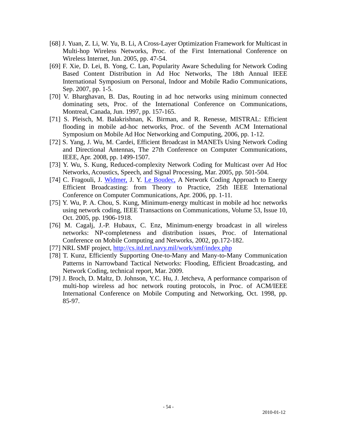- [68] J. Yuan, Z. Li, W. Yu, B. Li, A Cross-Layer Optimization Framework for Multicast in Multi-hop Wireless Networks, Proc. of the First International Conference on Wireless Internet, Jun. 2005, pp. 47-54.
- [69] F. Xie, D. Lei, B. Yong, C. Lan, Popularity Aware Scheduling for Network Coding Based Content Distribution in Ad Hoc Networks, The 18th Annual IEEE International Symposium on Personal, Indoor and Mobile Radio Communications, Sep. 2007, pp. 1-5.
- [70] V. Bharghavan, B. Das, Routing in ad hoc networks using minimum connected dominating sets, Proc. of the International Conference on Communications, Montreal, Canada, Jun. 1997, pp. 157-165.
- [71] S. Pleisch, M. Balakrishnan, K. Birman, and R. Renesse, MISTRAL: Efficient flooding in mobile ad-hoc networks, Proc. of the Seventh ACM International Symposium on Mobile Ad Hoc Networking and Computing, 2006, pp. 1-12.
- [72] S. Yang, J. Wu, M. Cardei, Efficient Broadcast in MANETs Using Network Coding and Directional Antennas, The 27th Conference on Computer Communications, IEEE, Apr. 2008, pp. 1499-1507.
- [73] Y. Wu, S. Kung, Reduced-complexity Network Coding for Multicast over Ad Hoc Networks, Acoustics, Speech, and Signal Processing, Mar. 2005, pp. 501-504.
- [74] C. Fragouli, J. [Widmer,](http://www.engineeringvillage2.org.proxy.bib.uottawa.ca/controller/servlet/Controller?CID=quickSearchCitationFormat&searchWord1=%7bWidmer%2C+J.%7d§ion1=AU&database=3&yearselect=yearrange&sort=yr) J. Y. [Le Boudec,](http://www.engineeringvillage2.org.proxy.bib.uottawa.ca/controller/servlet/Controller?CID=quickSearchCitationFormat&searchWord1=%7bLe+Boudec%2C+J.-Y.%7d§ion1=AU&database=3&yearselect=yearrange&sort=yr) A Network Coding Approach to Energy Efficient Broadcasting: from Theory to Practice, 25th IEEE International Conference on Computer Communications, Apr. 2006, pp. 1-11.
- [75] Y. Wu, P. A. Chou, S. Kung, Minimum-energy multicast in mobile ad hoc networks using network coding, IEEE Transactions on Communications, Volume 53, Issue 10, Oct. 2005, pp. 1906-1918.
- [76] M. Cagalj, J.-P. Hubaux, C. Enz, Minimum-energy broadcast in all wireless networks: NP-completeness and distribution issues, Proc. of International Conference on Mobile Computing and Networks, 2002, pp.172-182.
- [77] NRL SMF project, <http://cs.itd.nrl.navy.mil/work/smf/index.php>
- [78] T. Kunz, Efficiently Supporting One-to-Many and Many-to-Many Communication Patterns in Narrowband Tactical Networks: Flooding, Efficient Broadcasting, and Network Coding, technical report, Mar. 2009.
- [79] J. Broch, D. Maltz, D. Johnson, Y.C. Hu, J. Jetcheva, A performance comparison of multi-hop wireless ad hoc network routing protocols, in Proc. of ACM/IEEE International Conference on Mobile Computing and Networking, Oct. 1998, pp. 85-97.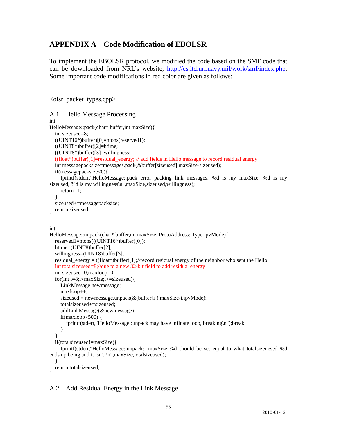## **APPENDIX A Code Modification of EBOLSR**

To implement the EBOLSR protocol, we modified the code based on the SMF code that can be downloaded from NRL's website, [http://cs.itd.nrl.navy.mil/work/smf/index.php.](http://cs.itd.nrl.navy.mil/work/smf/index.php) Some important code modifications in red color are given as follows:

<olsr\_packet\_types.cpp>

```
A.1 Hello Message Processing 
int 
HelloMessage::pack(char* buffer,int maxSize){ 
   int sizeused=8; 
  ((UINT16*)buffer)[0]=htons(reserved1);
   ((UINT8*)buffer)[2]=htime; 
   ((UINT8*)buffer)[3]=willingness; 
  ((float*)buffer)[1]=residual_energy; // add fields in Hello message to record residual energy
   int messagepacksize=messages.pack(&buffer[sizeused],maxSize-sizeused); 
   if(messagepacksize<0){ 
      fprintf(stderr,"HelloMessage::pack error packing link messages, %d is my maxSize, %d is my 
sizeused, %d is my willingness\n",maxSize,sizeused,willingness);
     return -1; 
   } 
   sizeused+=messagepacksize; 
   return sizeused; 
} 
int 
HelloMessage::unpack(char* buffer,int maxSize, ProtoAddress::Type ipvMode){ 
   reserved1=ntohs(((UINT16*)buffer)[0]); 
   htime=(UINT8)buffer[2]; 
   willingness=(UINT8)buffer[3]; 
   residual_energy = ((float*)buffer)[1];//record residual energy of the neighbor who sent the Hello 
   int totalsizeused=8;//due to a new 32-bit field to add residual energy 
   int sizeused=0,maxloop=0; 
  for(int i=8;i<maxSize;i+=sizeused){
     LinkMessage newmessage; 
     maxloop++; 
     sizeused = newmessage.unpack(&(buffer[i]),maxSize-i,ipvMode); 
     totalsizeused+=sizeused; 
     addLinkMessage(&newmessage); 
    if(maxloop>500) {
        fprintf(stderr,"HelloMessage::unpack may have infinate loop, breaking\n");break; 
      } 
 } 
   if(totalsizeused!=maxSize){ 
     fprintf(stderr,"HelloMessage::unpack:: maxSize %d should be set equal to what totalsizeuesed %d 
ends up being and it isn't!\n",maxSize,totalsizeused);
```

```
 return totalsizeused;
```

```
}
```
}

A.2 Add Residual Energy in the Link Message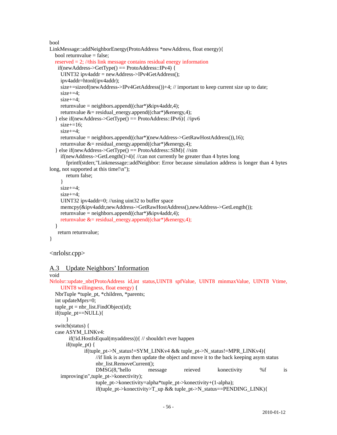bool

```
LinkMessage::addNeighborEnergy(ProtoAddress *newAddress, float energy){ 
  bool returnvalue = false:
  reserved = 2; //this link message contains residual energy information
    if(newAddress->GetType() == ProtoAddress::IPv4) { 
    UINT32 ipv4addr = newAddress->IPv4GetAddress();
     ipv4addr=htonl(ipv4addr); 
    size+=sizeof(newAddress->IPv4GetAddress())+4; // important to keep current size up to date;
    size+=4:
     size+=4; 
     returnvalue = neighbors.append((char*)&ipv4addr,4); 
    returnvalue &= residual energy.append((char*)&= energy,4);
  \} else if(newAddress->GetType() == ProtoAddress::IPv6){ //ipv6
    size+=16;
    size+=4:
    returnvalue = neighbors.append((char*)(newAddress->GetRawHostAddress()),16);
     returnvalue &= residual_energy.append((char*)&energy,4); 
   } else if(newAddress->GetType() == ProtoAddress::SIM){ //sim 
     if(newAddress->GetLength()>4){ //can not currently be greater than 4 bytes long 
        fprintf(stderr,"Linkmessage::addNeighbor: Error because simulation address is longer than 4 bytes 
long, not supported at this time!\n");
       return false; 
     } 
    size+=4;size+=4:
    UINT32 ipv4addr=0; //using uint32 to buffer space
     memcpy(&ipv4addr,newAddress->GetRawHostAddress(),newAddress->GetLength()); 
    returnvalue = neighbors.append((char*)\&ipy4addr,4); returnvalue &= residual_energy.append((char*)&energy,4); 
   } 
    return returnvalue; 
} 
<nrlolsr.cpp>
```
## A.3 Update Neighbors' Information

```
void 
Nrlolsr::update_nbr(ProtoAddress id,int status,UINT8 spfValue, UINT8 minmaxValue, UINT8 Vtime, 
    UINT8 willingness, float energy) { 
  NbrTuple *tuple_pt, *children, *parents;
   int updateMprs=0; 
  tuple\_pt = nbr\_list.FindObject(id); if(tuple_pt==NULL){ 
 } 
   switch(status) { 
   case ASYM_LINKv4: 
        if(!id.HostIsEqual(myaddress)){ // shouldn't ever happen 
       if(tuple_pt) { 
               if(tuple_pt->N_status!=SYM_LINKv4 && tuple_pt->N_status!=MPR_LINKv4){ 
                    //if link is asym then update the object and move it to the back keeping asym status 
                   nbr_list.RemoveCurrent();
                    DMSG(8,"hello message reieved konectivity %f is 
    improving\n",tuple_pt->konectivity); 
                   tuple_pt->konectivity=alpha*tuple_pt->konectivity+(1-alpha);
                   if(tuple_pt->konectivity>T_up && tuple_pt->N_status==PENDING_LINK){
```
- 56 -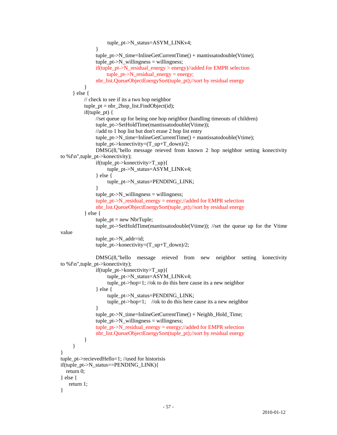```
 tuple_pt->N_status=ASYM_LINKv4; 
 } 
                   tuple_pt->N_time=InlineGetCurrentTime() + mantissatodouble(Vtime);
                   tuple pt\rightarrow N willingness = willingness;
                    if(tuple_pt->N_residual_energy > energy)//added for EMPR selection 
                         tuple_pt->N_residual_energy = energy; 
                    nbr_list.QueueObjectEnergySort(tuple_pt);//sort by residual energy 
 } 
          } else { 
               // check to see if its a two hop neighbor 
              tuple_p t = nbr_2hop_list.FindObject(id);if(tuple pt) {
                    //set queue up for being one hop neighbor (handling timeouts of children) 
                   tuple_pt->SetHoldTime(mantissatodouble(Vtime));
                    //add to 1 hop list but don't erase 2 hop list entry 
                   tuple pt\rightarrow N time=InlineGetCurrentTime() + mantissatodouble(Vtime);
                    tuple_pt->konectivity=(T_up+T_down)/2; 
                    DMSG(8,"hello message reieved from known 2 hop neighbor setting konectivity 
    to %f\n",tuple_pt->konectivity); 
                    if(tuple_pt->konectivity>T_up){ 
                         tuple_pt->N_status=ASYM_LINKv4; 
                    } else { 
                         tuple_pt->N_status=PENDING_LINK; 
 } 
                   tuple pt\rightarrow N willingness = willingness;
                    tuple_pt->N_residual_energy = energy;//added for EMPR selection 
                   nbr_list.QueueObjectEnergySort(tuple_pt);//sort by residual energy
               } else { 
                   tuple\_pt = new NbrTuple; tuple_pt->SetHoldTime(mantissatodouble(Vtime)); //set the queue up for the Vtime 
    value 
                    tuple_pt->N_addr=id; 
                    tuple_pt->konectivity=(T_up+T_down)/2; 
                    DMSG(8,"hello message reieved from new neighbor setting konectivity 
    to %f\n",tuple_pt->konectivity); 
                    if(tuple_pt->konectivity>T_up){ 
                         tuple_pt->N_status=ASYM_LINKv4; 
                        tuple pt->hop=1; //ok to do this here cause its a new neighbor
                    } else { 
                         tuple_pt->N_status=PENDING_LINK; 
                         tuple_pt->hop=1; //ok to do this here cause its a new neighbor 
 } 
                    tuple_pt->N_time=InlineGetCurrentTime() + Neighb_Hold_Time; 
                   tuple pt\rightarrow N willingness = willingness;
                   tuple_pt->N_residual_energy = energy;//added for EMPR selection
                    nbr_list.QueueObjectEnergySort(tuple_pt);//sort by residual energy 
 } 
 } 
     } 
     tuple_pt->recievedHello=1; //used for historisis 
     if(tuple_pt->N_status==PENDING_LINK){ 
       return 0; 
     } else { 
        return 1; 
     }
```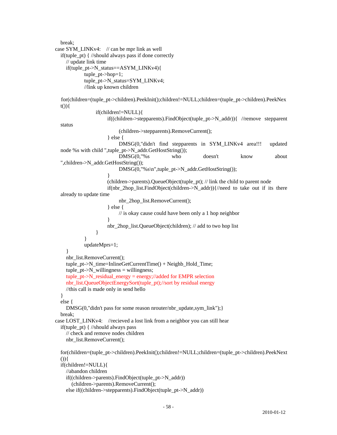break; case SYM\_LINKv4: // can be mpr link as well if(tuple\_pt) { //should always pass if done correctly // update link time if(tuple\_pt->N\_status==ASYM\_LINKv4){ tuple\_pt->hop=1; tuple\_pt->N\_status=SYM\_LINKv4; //link up known children for(children=(tuple\_pt->children).PeekInit();children!=NULL;children=(tuple\_pt->children).PeekNex  $t()$ } $\{$  if(children!=NULL){ if((children->stepparents).FindObject(tuple\_pt->N\_addr)){ //remove stepparent status (children->stepparents).RemoveCurrent(); } else { DMSG(0,"didn't find stepparents in SYM\_LINKv4 area!!! updated node %s with child ",tuple\_pt->N\_addr.GetHostString()); DMSG(0,"%s who doesn't know about ",children->N\_addr.GetHostString()); DMSG(0,"%s\n",tuple\_pt->N\_addr.GetHostString()); } (children->parents).QueueObject(tuple\_pt); // link the child to parent node if(nbr 2hop list.FindObject(children- $>N$  addr)){//need to take out if its there already to update time nbr\_2hop\_list.RemoveCurrent(); } else {  $\frac{1}{10}$  is okay cause could have been only a 1 hop neighbor } nbr\_2hop\_list.QueueObject(children); // add to two hop list } } updateMprs=1; } nbr\_list.RemoveCurrent(); tuple  $pt\rightarrow N$  time=InlineGetCurrentTime() + Neighb Hold Time;  $tuple_p t > N_willingness = willingness;$  tuple\_pt->N\_residual\_energy = energy;//added for EMPR selection nbr\_list.QueueObjectEnergySort(tuple\_pt);//sort by residual energy //this call is made only in send hello } else { DMSG(0,"didn't pass for some reason nrouter/nbr\_update,sym\_link"); } break; case LOST\_LINKv4: //recieved a lost link from a neighbor you can still hear if(tuple\_pt) { //should always pass // check and remove nodes children nbr\_list.RemoveCurrent(); for(children=(tuple\_pt->children).PeekInit();children!=NULL;children=(tuple\_pt->children).PeekNext  $()$  if(children!=NULL){ //abandon children if((children->parents).FindObject(tuple\_pt->N\_addr)) (children->parents).RemoveCurrent(); else if((children->stepparents).FindObject(tuple\_pt->N\_addr))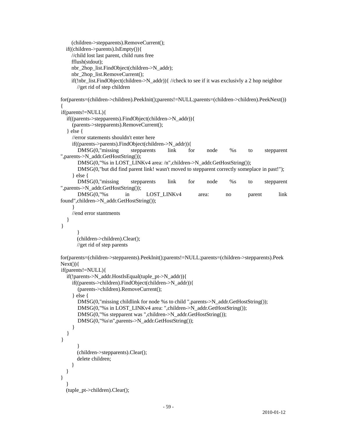```
 (children->stepparents).RemoveCurrent(); 
       if((children->parents).IsEmpty()){ 
          //child lost last parent, child runs free 
          fflush(stdout); 
          nbr_2hop_list.FindObject(children->N_addr); 
          nbr_2hop_list.RemoveCurrent(); 
         if(!nbr_list.FindObject(children->N_addr)){ //check to see if it was exclusivly a 2 hop neighbor
            //get rid of step children 
    for(parents=(children->children).PeekInit();parents!=NULL;parents=(children->children).PeekNext())
    { 
     if(parents!=NULL){ 
       if((parents->stepparents).FindObject(children->N_addr)){ 
          (parents->stepparents).RemoveCurrent(); 
        } else { 
          //error statements shouldn't enter here 
          if((parents->parents).FindObject(children->N_addr)){ 
            DMSG(0,"missing stepparents link for node %s to stepparent 
    ",parents->N_addr.GetHostString()); 
            DMSG(0,"%s in LOST_LINKv4 area: /n",children->N_addr.GetHostString()); 
            DMSG(0,"but did find parent link! wasn't moved to stepparent correctly someplace in past!"); 
          } else { 
            DMSG(0,"missing stepparents link for node %s to stepparent 
    ",parents->N_addr.GetHostString()); 
            DMSG(0,"%s in LOST_LINKv4 area: no parent link 
    found",children->N_addr.GetHostString()); 
 } 
          //end error stantments 
 } 
     } 
 } 
            (children->children).Clear(); 
            //get rid of step parents 
    for(parents=(children->stepparents).PeekInit();parents!=NULL;parents=(children->stepparents).Peek
    Next() if(parents!=NULL){ 
       if(!parents->N_addr.HostIsEqual(tuple_pt->N_addr)){ 
          if((parents->children).FindObject(children->N_addr)){ 
            (parents->children).RemoveCurrent(); 
          } else { 
            DMSG(0,"missing childlink for node %s to child ",parents->N_addr.GetHostString()); 
            DMSG(0,"%s in LOST_LINKv4 area: ",children->N_addr.GetHostString()); 
           DMSG(0,"%s stepparent was ",children->N_addr.GetHostString());
           DMSG(0,"%s\n",parents->N_addr.GetHostString());
 } 
       } 
     } 
 } 
            (children->stepparents).Clear(); 
            delete children; 
 } 
 } 
     } 
 } 
       (tuple_pt->children).Clear();
```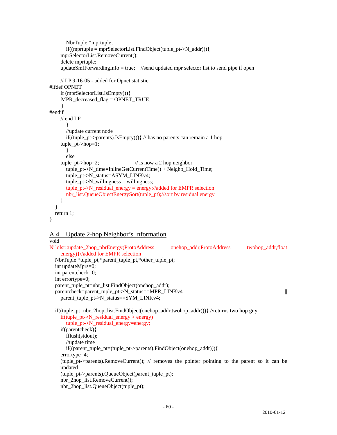```
 NbrTuple *mprtuple; 
       if((mprtuple = mpSelectorList.FindObject(tuple_p t > N\_addr))) mprSelectorList.RemoveCurrent(); 
     delete mprtuple; 
    updateSmfForwardingInfo = true; //send updated mpr selector list to send pipe if open
     // LP 9-16-05 - added for Opnet statistic 
#ifdef OPNET 
     if (mprSelectorList.IsEmpty()){ 
      MPR_decreased_flag = OPNET_TRUE; 
      } 
#endif 
     // end LP 
 } 
        //update current node 
       if((tuple_pt->parents).IsEmpty()){ // has no parents can remain a 1 hop
     tuple_pt->hop=1; 
        } 
        else 
     tuple_pt->hop=2; // is now a 2 hop neighbor 
        tuple_pt->N_time=InlineGetCurrentTime() + Neighb_Hold_Time; 
        tuple_pt->N_status=ASYM_LINKv4; 
       tuple_p t > N_willingness = willingness;tuple pt\rightarrow N residual energy = energy;//added for EMPR selection
       nbr_list.QueueObjectEnergySort(tuple_pt);//sort by residual energy
      } 
   } 
   return 1; 
}
```
#### A.4 Update 2-hop Neighbor's Information

```
void 
Nrlolsr::update_2hop_nbrEnergy(ProtoAddress onehop_addr,ProtoAddress twohop_addr,float 
    energy){//added for EMPR selection 
   NbrTuple *tuple_pt,*parent_tuple_pt,*other_tuple_pt; 
   int updateMprs=0; 
   int parentcheck=0; 
   int errortype=0; 
  parent tuple pt=nbr list.FindObject(onehop addr);
  parentcheck=parent_tuple_pt->N_status==MPR_LINKv4 ||
    parent_tuple_pt->N_status==SYM_LINKv4; 
   if((tuple_pt=nbr_2hop_list.FindObject(onehop_addr,twohop_addr))){ //returns two hop guy 
     if(tuple_pt->N_residual_energy > energy) 
       tuple_pt->N_residual_energy=energy; 
     if(parentcheck){ 
       fflush(stdout); 
       //update time 
       if((parent_tuple_pt=(tuple_pt->parents).FindObject(onehop_addr))){ 
     errortype=4; 
    (tuple pt->parents).RemoveCurrent(); // removes the pointer pointing to the parent so it can be
    updated 
     (tuple_pt->parents).QueueObject(parent_tuple_pt); 
     nbr_2hop_list.RemoveCurrent(); 
     nbr_2hop_list.QueueObject(tuple_pt);
```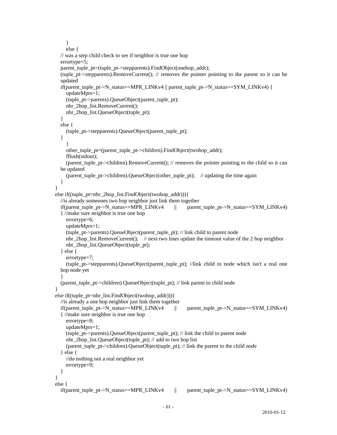```
 } 
        else { 
     // was a step child check to see if neighbor is true one hop 
     errortype=5; 
     parent_tuple_pt=(tuple_pt->stepparents).FindObject(onehop_addr); 
     (tuple_pt->stepparents).RemoveCurrent(); // removes the pointer pointing to the parent so it can be 
    updated 
     if(parent_tuple_pt->N_status==MPR_LINKv4 || parent_tuple_pt->N_status==SYM_LINKv4) { 
       updateMprs=1; 
        (tuple_pt->parents).QueueObject(parent_tuple_pt); 
       nbr_2hop_list.RemoveCurrent(); 
       nbr_2hop_list.QueueObject(tuple_pt);
     } 
     else { 
        (tuple_pt->stepparents).QueueObject(parent_tuple_pt); 
     } 
 } 
        other_tuple_pt=(parent_tuple_pt->children).FindObject(twohop_addr); 
       fflush(stdout); 
        (parent_tuple_pt->children).RemoveCurrent(); // removes the pointer pointing to the child so it can 
    be updated 
        (parent_tuple_pt->children).QueueObject(other_tuple_pt); // updating the time again 
     } 
   } 
   else if((tuple_pt=nbr_2hop_list.FindObject(twohop_addr))){ 
     //is already someones two hop neighbor just link them together 
    if(parent tuple pt->N_status==MPR_LINKv4 \parallel parent tuple pt->N_status==SYM_LINKv4)
    { //make sure neighbor is true one hop 
        errortype=6; 
        updateMprs=1; 
        (tuple_pt->parents).QueueObject(parent_tuple_pt); // link child to parent node 
       nbr_2hop_list.RemoveCurrent(); // next two lines update the timeout value of the 2 hop neighbor 
        nbr_2hop_list.QueueObject(tuple_pt); 
     } else { 
        errortype=7; 
        (tuple_pt->stepparents).QueueObject(parent_tuple_pt); //link child to node which isn't a real one 
    hop node yet 
 } 
     (parent_tuple_pt->children).QueueObject(tuple_pt); // link parent to child node 
   } 
   else if((tuple_pt=nbr_list.FindObject(twohop_addr))){ 
     //is already a one hop neighbor just link them together 
     if(parent_tuple_pt->N_status==MPR_LINKv4 || parent_tuple_pt->N_status==SYM_LINKv4) 
    { //make sure neighbor is true one hop 
        errortype=8; 
       updateMprs=1; 
        (tuple_pt->parents).QueueObject(parent_tuple_pt); // link the child to parent node 
       nbr_2hop_list.QueueObject(tuple_pt); // add to two hop list 
       (parent tuple pt->children).QueueObject(tuple pt); // link the parent to the child node
     } else { 
        //do nothing not a real neighbor yet 
        errortype=9; 
     } 
   } 
   else { 
     if(parent_tuple_pt->N_status==MPR_LINKv4 || parent_tuple_pt->N_status==SYM_LINKv4)
```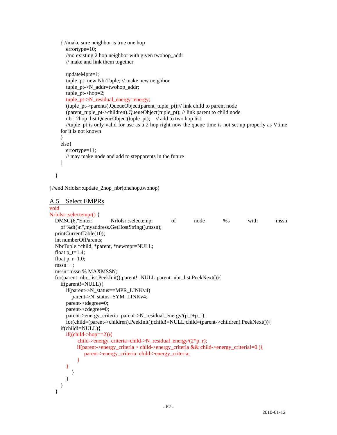```
{ //make sure neighbor is true one hop 
   errortype=10; 
   //no existing 2 hop neighbor with given twohop_addr 
   // make and link them together 
   updateMprs=1; 
   tuple_pt=new NbrTuple; // make new neighbor 
   tuple_pt->N_addr=twohop_addr; 
   tuple_pt->hop=2; 
   tuple_pt->N_residual_energy=energy; 
   (tuple_pt->parents).QueueObject(parent_tuple_pt);// link child to parent node 
   (parent_tuple_pt->children).QueueObject(tuple_pt); // link parent to child node 
   nbr_2hop_list.QueueObject(tuple_pt); // add to two hop list 
   //tuple_pt is only valid for use as a 2 hop right now the queue time is not set up properly as Vtime 
for it is not known 
 } 
 else{ 
   errortype=11; 
   // may make node and add to stepparents in the future 
 }
```

```
 }
```
}//end Nrlolsr::update\_2hop\_nbr(onehop,twohop)

```
A.5 Select EMPRs
```

```
void 
Nrlolsr::selectempr() { 
   DMSG(6,"Enter: Nrlolsr::selectempr of node %s with mssn 
    of %d()\n",myaddress.GetHostString(),mssn); 
   printCurrentTable(10); 
   int numberOfParents; 
   NbrTuple *child, *parent, *newmpr=NULL; 
  float p_t=1.4;
  float p_r=1.0;
   mssn++; 
   mssn=mssn % MAXMSSN; 
   for(parent=nbr_list.PeekInit();parent!=NULL;parent=nbr_list.PeekNext()){ 
     if(parent!=NULL){ 
        if(parent->N_status==MPR_LINKv4) 
          parent->N_status=SYM_LINKv4; 
       parent->tdegree=0; 
       parent->cdegree=0; 
       parent->energy_criteria=parent->N_residual_energy/(p_t+p_r); 
        for(child=(parent->children).PeekInit();child!=NULL;child=(parent->children).PeekNext()){ 
     if(child!=NULL){ 
       if((child>hop==2)) child->energy_criteria=child->N_residual_energy/(2*p_r); 
            if(parent->energy_criteria > child->energy_criteria && child->energy_criteria!=0 ){ 
               parent->energy_criteria=child->energy_criteria; 
 } 
 } 
          } 
       } 
     } 
   }
```
2010-01-12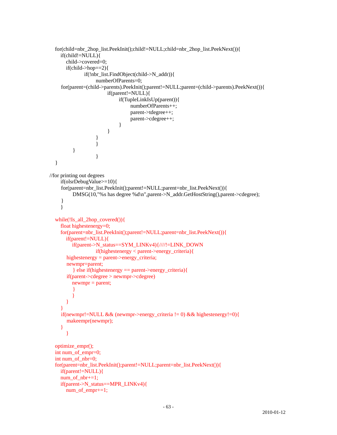```
 for(child=nbr_2hop_list.PeekInit();child!=NULL;child=nbr_2hop_list.PeekNext()){ 
     if(child!=NULL){ 
       child->covered=0; 
      if(child->hop==2){
               if(!nbr_list.FindObject(child->N_addr)){ 
                   numberOfParents=0; 
     for(parent=(child->parents).PeekInit();parent!=NULL;parent=(child->parents).PeekNext()){ 
                        if(parent!=NULL){ 
                             if(TupleLinkIsUp(parent)){ 
                                  numberOfParents++; 
                                  parent->tdegree++; 
                                  parent->cdegree++; 
 } 
 } 
 } 
 } 
 } 
 } 
   } 
//for printing out degrees 
     if(olsrDebugValue>=10){ 
    for(parent=nbr_list.PeekInit();parent!=NULL;parent=nbr_list.PeekNext()){
         DMSG(10,"%s has degree %d\n",parent->N_addr.GetHostString(),parent->cdegree);
     } 
     } 
   while(!Is_all_2hop_covered()){ 
     float highestenergy=0; 
    for(parent=nbr_list.PeekInit();parent!=NULL;parent=nbr_list.PeekNext()){ 
       if(parent!=NULL){ 
          if(parent->N_status==SYM_LINKv4){////!=LINK_DOWN 
                   if(highestenergy < parent->energy_criteria){ 
       highestenergy = parent->energy_criteria; 
       newmpr=parent; 
          } else if(highestenergy == parent->energy_criteria){ 
       if(parent->cdegree > newmpr->cdegree) 
         newmp = parent; } 
 } 
 } 
\left\{\begin{array}{c} \end{array}\right\} if(newmpr!=NULL && (newmpr->energy_criteria != 0) && highestenergy!=0){ 
       makeempr(newmpr); 
     } 
 } 
   optimize_empr(); 
   int num_of_empr=0; 
   int num_of_nbr=0; 
   for(parent=nbr_list.PeekInit();parent!=NULL;parent=nbr_list.PeekNext()){ 
     if(parent!=NULL){ 
     num_of_nbr+=1; 
     if(parent->N_status==MPR_LINKv4){ 
       num_of_empr+=1;
```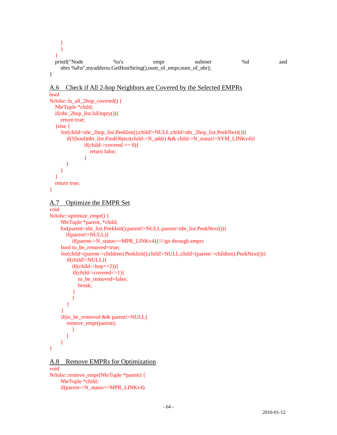```
 } 
 } 
 } 
  printf("Node %s's empr nubmer %d and
    nbrs %d\n",myaddress.GetHostString(),num_of_empr,num_of_nbr); 
} 
A.6 Check if All 2-hop Neighbors are Covered by the Selected EMPRs
bool 
Nrlolsr::Is_all_2hop_covered() { 
   NbrTuple *child; 
   if(nbr_2hop_list.IsEmpty()){ 
     return true; 
   }else { 
     for(child=nbr_2hop_list.PeekInit();child!=NULL;child=nbr_2hop_list.PeekNext()){ 
       if(!(bool)nbr_list.FindObject(child->N_addr) && child->N_status!=SYM_LINKv4){ 
             if(child->covered == 0){
                return false; 
 } 
 } 
     } 
 } 
   return true; 
} 
A.7 Optimize the EMPR Set
void 
Nrlolsr::optimize_empr() {
     NbrTuple *parent, *child; 
     for(parent=nbr_list.PeekInit();parent!=NULL;parent=nbr_list.PeekNext()){ 
       if(parent!=NULL){ 
          if(parent->N_status==MPR_LINKv4){////go through emprs 
     bool to_be_removed=true; 
     for(child=(parent->children).PeekInit();child!=NULL;child=(parent->children).PeekNext()){ 
       if(child!=NULL){ 
         if((child>hop==2)) if(child->covered<=1){ 
            to_be_removed=false; 
            break; 
 } 
 } 
 } 
 } 
     if(to_be_removed && parent!=NULL) 
       remove_empr(parent); 
          } 
 } 
     } 
} 
A.8 Remove EMPRs for Optimization
void
```
Nrlolsr::remove\_empr(NbrTuple \*parent) { NbrTuple \*child; if(parent->N\_status==MPR\_LINKv4)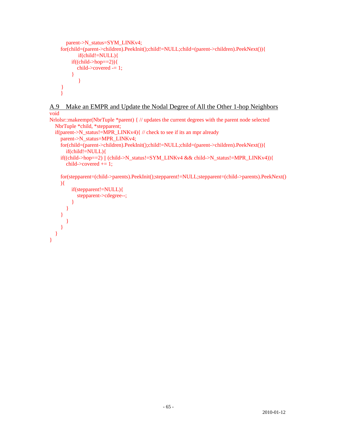```
 parent->N_status=SYM_LINKv4; 
     for(child=(parent->children).PeekInit();child!=NULL;child=(parent->children).PeekNext()){ 
            if(child!=NULL){ 
         if((child>hop==2)) child->covered -= 1; 
          } 
 } 
     } 
     }
```
A.9 Make an EMPR and Update the Nodal Degree of All the Other 1-hop Neighbors void

```
Nrlolsr::makeempr(NbrTuple *parent) { // updates the current degrees with the parent node selected 
   NbrTuple *child, *stepparent; 
   if(parent->N_status!=MPR_LINKv4){ // check to see if its an mpr already 
     parent->N_status=MPR_LINKv4; 
     for(child=(parent->children).PeekInit();child!=NULL;child=(parent->children).PeekNext()){ 
        if(child!=NULL){ 
    if((child->hop==2) \|(child->N_status!=SYM_LINKv4 && child->N_status!=MPR_LINKv4)){
       child-\geq covered += 1;
    for(stepparent=(child->parents).PeekInit();stepparent!=NULL;stepparent=(child->parents).PeekNext()
    \mathcal{H}
```

```
 if(stepparent!=NULL){ 
             stepparent->cdegree--; 
          } 
       } 
    } 
       } 
    } 
 }
```
}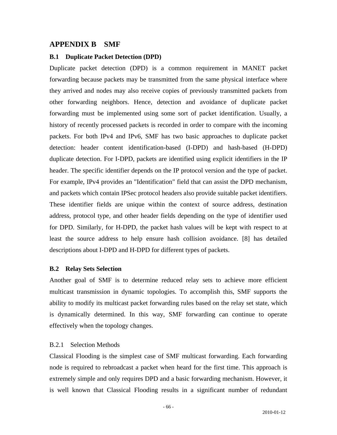## **APPENDIX B SMF**

#### **B.1 Duplicate Packet Detection (DPD)**

Duplicate packet detection (DPD) is a common requirement in MANET packet forwarding because packets may be transmitted from the same physical interface where they arrived and nodes may also receive copies of previously transmitted packets from other forwarding neighbors. Hence, detection and avoidance of duplicate packet forwarding must be implemented using some sort of packet identification. Usually, a history of recently processed packets is recorded in order to compare with the incoming packets. For both IPv4 and IPv6, SMF has two basic approaches to duplicate packet detection: header content identification-based (I-DPD) and hash-based (H-DPD) duplicate detection. For I-DPD, packets are identified using explicit identifiers in the IP header. The specific identifier depends on the IP protocol version and the type of packet. For example, IPv4 provides an "Identification" field that can assist the DPD mechanism, and packets which contain IPSec protocol headers also provide suitable packet identifiers. These identifier fields are unique within the context of source address, destination address, protocol type, and other header fields depending on the type of identifier used for DPD. Similarly, for H-DPD, the packet hash values will be kept with respect to at least the source address to help ensure hash collision avoidance. [8] has detailed descriptions about I-DPD and H-DPD for different types of packets.

#### **B.2 Relay Sets Selection**

Another goal of SMF is to determine reduced relay sets to achieve more efficient multicast transmission in dynamic topologies. To accomplish this, SMF supports the ability to modify its multicast packet forwarding rules based on the relay set state, which is dynamically determined. In this way, SMF forwarding can continue to operate effectively when the topology changes.

#### B.2.1 Selection Methods

Classical Flooding is the simplest case of SMF multicast forwarding. Each forwarding node is required to rebroadcast a packet when heard for the first time. This approach is extremely simple and only requires DPD and a basic forwarding mechanism. However, it is well known that Classical Flooding results in a significant number of redundant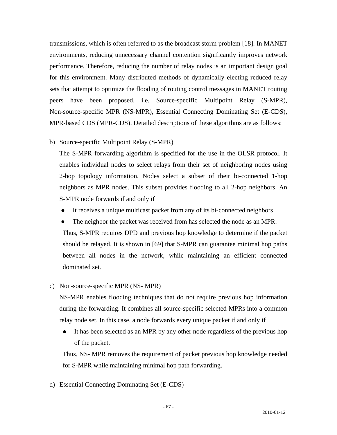transmissions, which is often referred to as the broadcast storm problem [18]. In MANET environments, reducing unnecessary channel contention significantly improves network performance. Therefore, reducing the number of relay nodes is an important design goal for this environment. Many distributed methods of dynamically electing reduced relay sets that attempt to optimize the flooding of routing control messages in MANET routing peers have been proposed, i.e. Source-specific Multipoint Relay (S-MPR), Non-source-specific MPR (NS-MPR), Essential Connecting Dominating Set (E-CDS), MPR-based CDS (MPR-CDS). Detailed descriptions of these algorithms are as follows:

b) Source-specific Multipoint Relay (S-MPR)

The S-MPR forwarding algorithm is specified for the use in the OLSR protocol. It enables individual nodes to select relays from their set of neighboring nodes using 2-hop topology information. Nodes select a subset of their bi-connected 1-hop neighbors as MPR nodes. This subset provides flooding to all 2-hop neighbors. An S-MPR node forwards if and only if

- It receives a unique multicast packet from any of its bi-connected neighbors.
- The neighbor the packet was received from has selected the node as an MPR.

 Thus, S-MPR requires DPD and previous hop knowledge to determine if the packet should be relayed. It is shown in [69] that S-MPR can guarantee minimal hop paths between all nodes in the network, while maintaining an efficient connected dominated set.

c) Non-source-specific MPR (NS- MPR)

NS-MPR enables flooding techniques that do not require previous hop information during the forwarding. It combines all source-specific selected MPRs into a common relay node set. In this case, a node forwards every unique packet if and only if

• It has been selected as an MPR by any other node regardless of the previous hop of the packet.

Thus, NS- MPR removes the requirement of packet previous hop knowledge needed for S-MPR while maintaining minimal hop path forwarding.

d) Essential Connecting Dominating Set (E-CDS)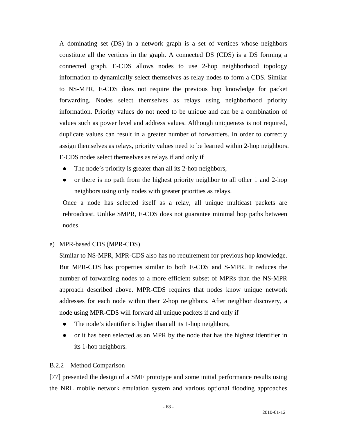A dominating set (DS) in a network graph is a set of vertices whose neighbors constitute all the vertices in the graph. A connected DS (CDS) is a DS forming a connected graph. E-CDS allows nodes to use 2-hop neighborhood topology information to dynamically select themselves as relay nodes to form a CDS. Similar to NS-MPR, E-CDS does not require the previous hop knowledge for packet forwarding. Nodes select themselves as relays using neighborhood priority information. Priority values do not need to be unique and can be a combination of values such as power level and address values. Although uniqueness is not required, duplicate values can result in a greater number of forwarders. In order to correctly assign themselves as relays, priority values need to be learned within 2-hop neighbors. E-CDS nodes select themselves as relays if and only if

- $\bullet$  The node's priority is greater than all its 2-hop neighbors,
- $\bullet$  or there is no path from the highest priority neighbor to all other 1 and 2-hop neighbors using only nodes with greater priorities as relays.

Once a node has selected itself as a relay, all unique multicast packets are rebroadcast. Unlike SMPR, E-CDS does not guarantee minimal hop paths between nodes.

e) MPR-based CDS (MPR-CDS)

Similar to NS-MPR, MPR-CDS also has no requirement for previous hop knowledge. But MPR-CDS has properties similar to both E-CDS and S-MPR. It reduces the number of forwarding nodes to a more efficient subset of MPRs than the NS-MPR approach described above. MPR-CDS requires that nodes know unique network addresses for each node within their 2-hop neighbors. After neighbor discovery, a node using MPR-CDS will forward all unique packets if and only if

- $\bullet$  The node's identifier is higher than all its 1-hop neighbors,
- or it has been selected as an MPR by the node that has the highest identifier in its 1-hop neighbors.

#### B.2.2 Method Comparison

[77] presented the design of a SMF prototype and some initial performance results using the NRL mobile network emulation system and various optional flooding approaches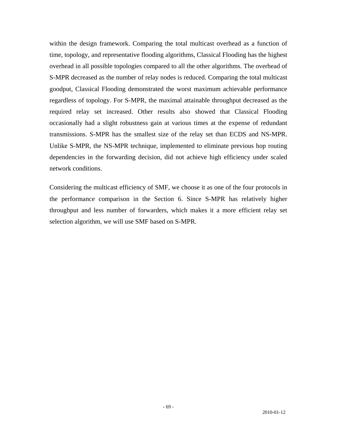within the design framework. Comparing the total multicast overhead as a function of time, topology, and representative flooding algorithms, Classical Flooding has the highest overhead in all possible topologies compared to all the other algorithms. The overhead of S-MPR decreased as the number of relay nodes is reduced. Comparing the total multicast goodput, Classical Flooding demonstrated the worst maximum achievable performance regardless of topology. For S-MPR, the maximal attainable throughput decreased as the required relay set increased. Other results also showed that Classical Flooding occasionally had a slight robustness gain at various times at the expense of redundant transmissions. S-MPR has the smallest size of the relay set than ECDS and NS-MPR. Unlike S-MPR, the NS-MPR technique, implemented to eliminate previous hop routing dependencies in the forwarding decision, did not achieve high efficiency under scaled network conditions.

Considering the multicast efficiency of SMF, we choose it as one of the four protocols in the performance comparison in the Section 6. Since S-MPR has relatively higher throughput and less number of forwarders, which makes it a more efficient relay set selection algorithm, we will use SMF based on S-MPR.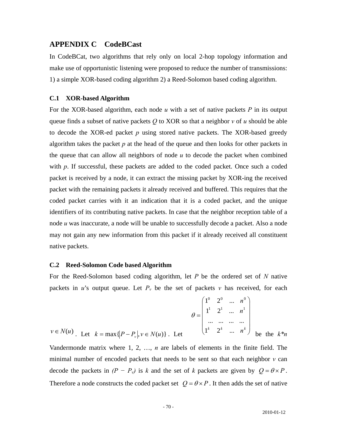### **APPENDIX C CodeBCast**

In CodeBCat, two algorithms that rely only on local 2-hop topology information and make use of opportunistic listening were proposed to reduce the number of transmissions: 1) a simple XOR-based coding algorithm 2) a Reed-Solomon based coding algorithm.

#### **C.1 XOR-based Algorithm**

For the XOR-based algorithm, each node *u* with a set of native packets *P* in its output queue finds a subset of native packets *Q* to XOR so that a neighbor *v* of *u* should be able to decode the XOR-ed packet *p* using stored native packets. The XOR-based greedy algorithm takes the packet  $p$  at the head of the queue and then looks for other packets in the queue that can allow all neighbors of node *u* to decode the packet when combined with *p*. If successful, these packets are added to the coded packet. Once such a coded packet is received by a node, it can extract the missing packet by XOR-ing the received packet with the remaining packets it already received and buffered. This requires that the coded packet carries with it an indication that it is a coded packet, and the unique identifiers of its contributing native packets. In case that the neighbor reception table of a node *u* was inaccurate, a node will be unable to successfully decode a packet. Also a node may not gain any new information from this packet if it already received all constituent native packets.

#### **C.2 Reed-Solomon Code based Algorithm**

For the Reed-Solomon based coding algorithm, let *P* be the ordered set of *N* native packets in *u*'s output queue. Let  $P_v$  be the set of packets *v* has received, for each

$$
v \in N(u) \quad \text{Let} \quad k = \max\{|P - P_v|, v \in N(u)\} \quad \text{Let} \quad \begin{pmatrix} 1^0 & 2^0 & \dots & n^0 \\ 1^1 & 2^1 & \dots & n^1 \\ \dots & \dots & \dots & \dots \\ 1^k & 2^k & \dots & n^k \end{pmatrix} \quad \text{be the } k^*n
$$

Vandermonde matrix where 1, 2, …, *n* are labels of elements in the finite field. The minimal number of encoded packets that needs to be sent so that each neighbor  $\nu$  can decode the packets in  $(P - P_v)$  is *k* and the set of *k* packets are given by  $Q = \theta \times P$ . Therefore a node constructs the coded packet set  $Q = \theta \times P$ . It then adds the set of native